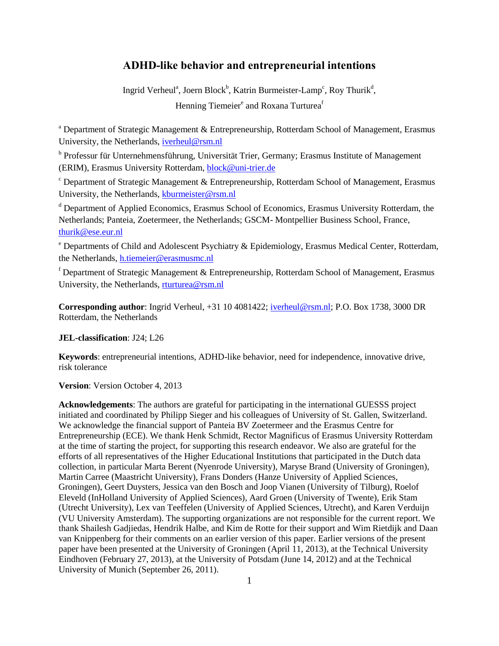## **ADHD-like behavior and entrepreneurial intentions**

Ingrid Verheul<sup>a</sup>, Joern Block<sup>b</sup>, Katrin Burmeister-Lamp<sup>c</sup>, Roy Thurik<sup>d</sup>, Henning Tiemeier<sup>e</sup> and Roxana Turturea<sup>f</sup>

<sup>a</sup> Department of Strategic Management & Entrepreneurship, Rotterdam School of Management, Erasmus University, the Netherlands, [iverheul@rsm.nl](mailto:iverheul@rsm.nl)

b Professur für Unternehmensführung, Universität Trier, Germany; Erasmus Institute of Management (ERIM), Erasmus University Rotterdam, [block@uni-trier.de](file:///C:/Users/50629rtu/AppData/Local/Microsoft/Windows/Temporary%20Internet%20Files/Content.Outlook/7A0P7WDT/block@uni-trier.de)

<sup>c</sup> Department of Strategic Management & Entrepreneurship, Rotterdam School of Management, Erasmus University, the Netherlands, [kburmeister@rsm.nl](file:///C:/Users/50629rtu/AppData/Local/Microsoft/Windows/Temporary%20Internet%20Files/Content.Outlook/7A0P7WDT/kburmeister@rsm.nl)

<sup>d</sup> Department of Applied Economics, Erasmus School of Economics, Erasmus University Rotterdam, the Netherlands; Panteia, Zoetermeer, the Netherlands; GSCM- Montpellier Business School, France, [thurik@ese.eur.nl](mailto:thurik@ese.eur.nl)

<sup>e</sup> Departments of Child and Adolescent Psychiatry & Epidemiology, Erasmus Medical Center, Rotterdam, the Netherlands, [h.tiemeier@erasmusmc.nl](mailto:h.tiemeier@erasmusmc.nl)

 $f$  Department of Strategic Management & Entrepreneurship, Rotterdam School of Management, Erasmus University, the Netherlands, [rturturea@rsm.nl](mailto:rturturea@rsm.nl)

**Corresponding author**: Ingrid Verheul, +31 10 4081422; [iverheul@rsm.nl;](mailto:iverheul@rsm.nl) P.O. Box 1738, 3000 DR Rotterdam, the Netherlands

**JEL-classification**: J24; L26

**Keywords**: entrepreneurial intentions, ADHD-like behavior, need for independence, innovative drive, risk tolerance

**Version**: Version October 4, 2013

**Acknowledgements**: The authors are grateful for participating in the international GUESSS project initiated and coordinated by Philipp Sieger and his colleagues of University of St. Gallen, Switzerland. We acknowledge the financial support of Panteia BV Zoetermeer and the Erasmus Centre for Entrepreneurship (ECE). We thank Henk Schmidt, Rector Magnificus of Erasmus University Rotterdam at the time of starting the project, for supporting this research endeavor. We also are grateful for the efforts of all representatives of the Higher Educational Institutions that participated in the Dutch data collection, in particular Marta Berent (Nyenrode University), Maryse Brand (University of Groningen), Martin Carree (Maastricht University), Frans Donders (Hanze University of Applied Sciences, Groningen), Geert Duysters, Jessica van den Bosch and Joop Vianen (University of Tilburg), Roelof Eleveld (InHolland University of Applied Sciences), Aard Groen (University of Twente), Erik Stam (Utrecht University), Lex van Teeffelen (University of Applied Sciences, Utrecht), and Karen Verduijn (VU University Amsterdam). The supporting organizations are not responsible for the current report. We thank Shailesh Gadjiedas, Hendrik Halbe, and Kim de Rotte for their support and Wim Rietdijk and Daan van Knippenberg for their comments on an earlier version of this paper. Earlier versions of the present paper have been presented at the University of Groningen (April 11, 2013), at the Technical University Eindhoven (February 27, 2013), at the University of Potsdam (June 14, 2012) and at the Technical University of Munich (September 26, 2011).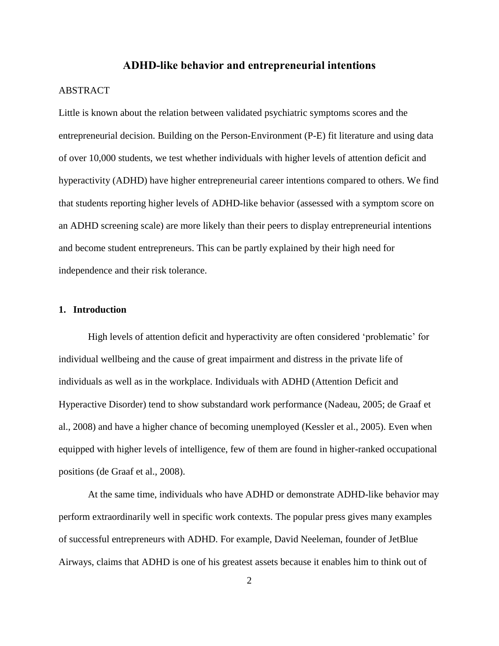#### **ADHD-like behavior and entrepreneurial intentions**

## **ABSTRACT**

Little is known about the relation between validated psychiatric symptoms scores and the entrepreneurial decision. Building on the Person-Environment (P-E) fit literature and using data of over 10,000 students, we test whether individuals with higher levels of attention deficit and hyperactivity (ADHD) have higher entrepreneurial career intentions compared to others. We find that students reporting higher levels of ADHD-like behavior (assessed with a symptom score on an ADHD screening scale) are more likely than their peers to display entrepreneurial intentions and become student entrepreneurs. This can be partly explained by their high need for independence and their risk tolerance.

#### **1. Introduction**

High levels of attention deficit and hyperactivity are often considered 'problematic' for individual wellbeing and the cause of great impairment and distress in the private life of individuals as well as in the workplace. Individuals with ADHD (Attention Deficit and Hyperactive Disorder) tend to show substandard work performance (Nadeau, 2005; de Graaf et al., 2008) and have a higher chance of becoming unemployed (Kessler et al., 2005). Even when equipped with higher levels of intelligence, few of them are found in higher-ranked occupational positions (de Graaf et al., 2008).

At the same time, individuals who have ADHD or demonstrate ADHD-like behavior may perform extraordinarily well in specific work contexts. The popular press gives many examples of successful entrepreneurs with ADHD. For example, David Neeleman, founder of JetBlue Airways, claims that ADHD is one of his greatest assets because it enables him to think out of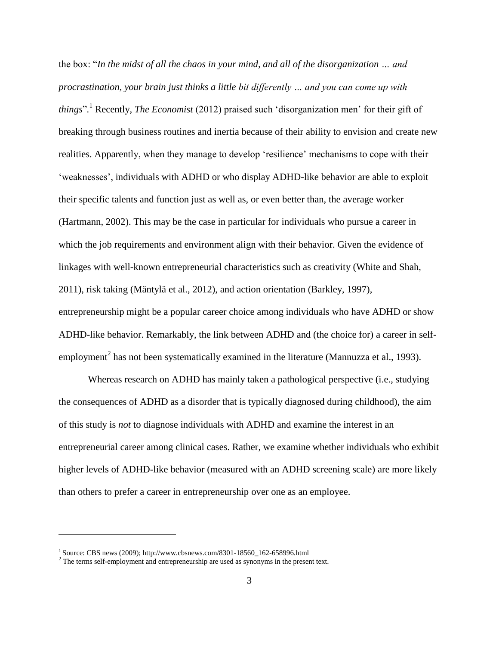the box: "*In the midst of all the chaos in your mind, and all of the disorganization … and procrastination, your brain just thinks a little bit differently … and you can come up with things*"*.* <sup>1</sup> Recently, *The Economist* (2012) praised such 'disorganization men' for their gift of breaking through business routines and inertia because of their ability to envision and create new realities. Apparently, when they manage to develop 'resilience' mechanisms to cope with their 'weaknesses', individuals with ADHD or who display ADHD-like behavior are able to exploit their specific talents and function just as well as, or even better than, the average worker (Hartmann, 2002). This may be the case in particular for individuals who pursue a career in which the job requirements and environment align with their behavior. Given the evidence of linkages with well-known entrepreneurial characteristics such as creativity (White and Shah, 2011), risk taking (Mäntylä et al., 2012), and action orientation (Barkley, 1997), entrepreneurship might be a popular career choice among individuals who have ADHD or show ADHD-like behavior. Remarkably, the link between ADHD and (the choice for) a career in selfemployment<sup>2</sup> has not been systematically examined in the literature (Mannuzza et al., 1993).

Whereas research on ADHD has mainly taken a pathological perspective (i.e., studying the consequences of ADHD as a disorder that is typically diagnosed during childhood), the aim of this study is *not* to diagnose individuals with ADHD and examine the interest in an entrepreneurial career among clinical cases. Rather, we examine whether individuals who exhibit higher levels of ADHD-like behavior (measured with an ADHD screening scale) are more likely than others to prefer a career in entrepreneurship over one as an employee.

1

<sup>1</sup> Source: CBS news (2009); [http://www.cbsnews.com/8301-18560\\_162-658996.html](http://www.cbsnews.com/8301-18560_162-658996.html)

<sup>&</sup>lt;sup>2</sup> The terms self-employment and entrepreneurship are used as synonyms in the present text.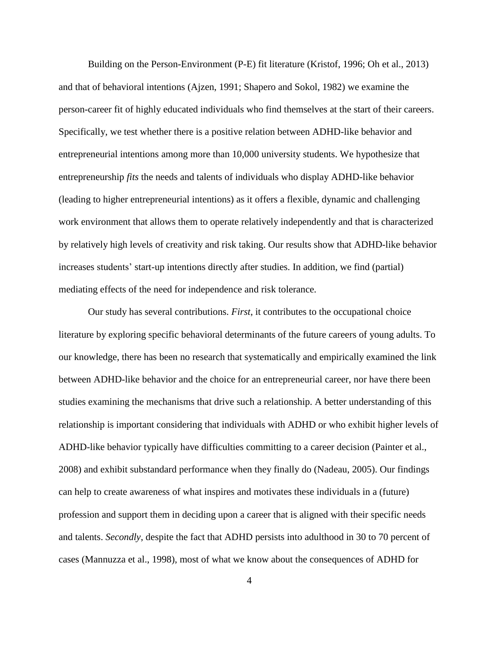Building on the Person-Environment (P-E) fit literature (Kristof, 1996; Oh et al., 2013) and that of behavioral intentions (Ajzen, 1991; Shapero and Sokol, 1982) we examine the person-career fit of highly educated individuals who find themselves at the start of their careers. Specifically, we test whether there is a positive relation between ADHD-like behavior and entrepreneurial intentions among more than 10,000 university students. We hypothesize that entrepreneurship *fits* the needs and talents of individuals who display ADHD-like behavior (leading to higher entrepreneurial intentions) as it offers a flexible, dynamic and challenging work environment that allows them to operate relatively independently and that is characterized by relatively high levels of creativity and risk taking. Our results show that ADHD-like behavior increases students' start-up intentions directly after studies. In addition, we find (partial) mediating effects of the need for independence and risk tolerance.

Our study has several contributions. *First*, it contributes to the occupational choice literature by exploring specific behavioral determinants of the future careers of young adults. To our knowledge, there has been no research that systematically and empirically examined the link between ADHD-like behavior and the choice for an entrepreneurial career, nor have there been studies examining the mechanisms that drive such a relationship. A better understanding of this relationship is important considering that individuals with ADHD or who exhibit higher levels of ADHD-like behavior typically have difficulties committing to a career decision (Painter et al., 2008) and exhibit substandard performance when they finally do (Nadeau, 2005). Our findings can help to create awareness of what inspires and motivates these individuals in a (future) profession and support them in deciding upon a career that is aligned with their specific needs and talents. *Secondly*, despite the fact that ADHD persists into adulthood in 30 to 70 percent of cases (Mannuzza et al., 1998), most of what we know about the consequences of ADHD for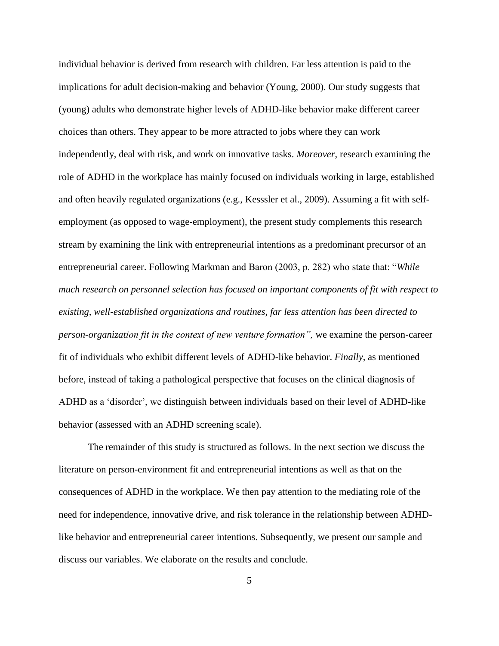individual behavior is derived from research with children. Far less attention is paid to the implications for adult decision-making and behavior (Young, 2000). Our study suggests that (young) adults who demonstrate higher levels of ADHD-like behavior make different career choices than others. They appear to be more attracted to jobs where they can work independently, deal with risk, and work on innovative tasks. *Moreover*, research examining the role of ADHD in the workplace has mainly focused on individuals working in large, established and often heavily regulated organizations (e.g., Kesssler et al., 2009). Assuming a fit with selfemployment (as opposed to wage-employment), the present study complements this research stream by examining the link with entrepreneurial intentions as a predominant precursor of an entrepreneurial career. Following Markman and Baron (2003, p. 282) who state that: "*While much research on personnel selection has focused on important components of fit with respect to existing, well-established organizations and routines, far less attention has been directed to person-organization fit in the context of new venture formation",* we examine the person-career fit of individuals who exhibit different levels of ADHD-like behavior. *Finally*, as mentioned before, instead of taking a pathological perspective that focuses on the clinical diagnosis of ADHD as a 'disorder', we distinguish between individuals based on their level of ADHD-like behavior (assessed with an ADHD screening scale).

The remainder of this study is structured as follows. In the next section we discuss the literature on person-environment fit and entrepreneurial intentions as well as that on the consequences of ADHD in the workplace. We then pay attention to the mediating role of the need for independence, innovative drive, and risk tolerance in the relationship between ADHDlike behavior and entrepreneurial career intentions. Subsequently, we present our sample and discuss our variables. We elaborate on the results and conclude.

5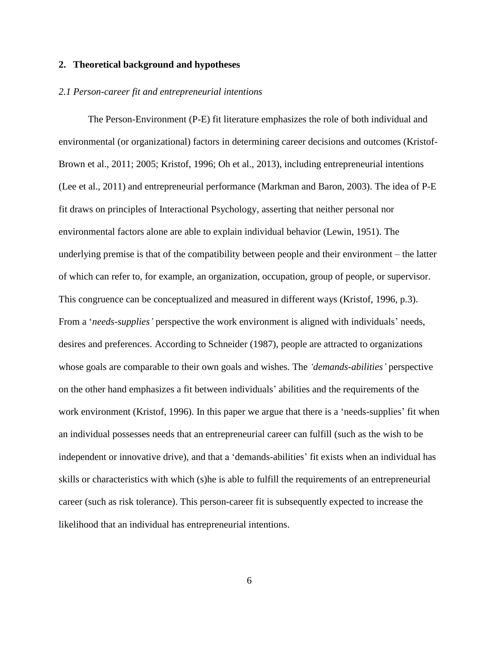#### **2. Theoretical background and hypotheses**

#### *2.1 Person-career fit and entrepreneurial intentions*

The Person-Environment (P-E) fit literature emphasizes the role of both individual and environmental (or organizational) factors in determining career decisions and outcomes (Kristof-Brown et al., 2011; 2005; Kristof, 1996; Oh et al., 2013), including entrepreneurial intentions (Lee et al., 2011) and entrepreneurial performance (Markman and Baron, 2003). The idea of P-E fit draws on principles of Interactional Psychology, asserting that neither personal nor environmental factors alone are able to explain individual behavior (Lewin, 1951). The underlying premise is that of the compatibility between people and their environment – the latter of which can refer to, for example, an organization, occupation, group of people, or supervisor. This congruence can be conceptualized and measured in different ways (Kristof, 1996, p.3). From a '*needs-supplies'* perspective the work environment is aligned with individuals' needs, desires and preferences. According to Schneider (1987), people are attracted to organizations whose goals are comparable to their own goals and wishes. The *'demands-abilities'* perspective on the other hand emphasizes a fit between individuals' abilities and the requirements of the work environment (Kristof, 1996). In this paper we argue that there is a 'needs-supplies' fit when an individual possesses needs that an entrepreneurial career can fulfill (such as the wish to be independent or innovative drive), and that a 'demands-abilities' fit exists when an individual has skills or characteristics with which (s)he is able to fulfill the requirements of an entrepreneurial career (such as risk tolerance). This person-career fit is subsequently expected to increase the likelihood that an individual has entrepreneurial intentions.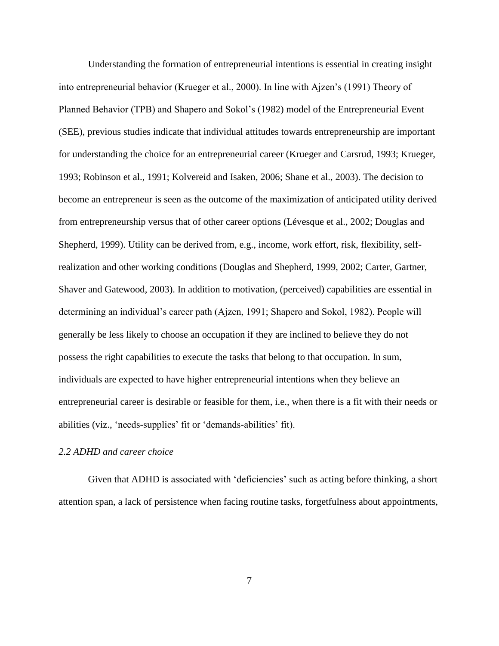Understanding the formation of entrepreneurial intentions is essential in creating insight into entrepreneurial behavior (Krueger et al., 2000). In line with Ajzen's (1991) Theory of Planned Behavior (TPB) and Shapero and Sokol's (1982) model of the Entrepreneurial Event (SEE), previous studies indicate that individual attitudes towards entrepreneurship are important for understanding the choice for an entrepreneurial career (Krueger and Carsrud, 1993; Krueger, 1993; Robinson et al., 1991; Kolvereid and Isaken, 2006; Shane et al., 2003). The decision to become an entrepreneur is seen as the outcome of the maximization of anticipated utility derived from entrepreneurship versus that of other career options (Lévesque et al., 2002; Douglas and Shepherd, 1999). Utility can be derived from, e.g., income, work effort, risk, flexibility, selfrealization and other working conditions (Douglas and Shepherd, 1999, 2002; Carter, Gartner, Shaver and Gatewood, 2003). In addition to motivation, (perceived) capabilities are essential in determining an individual's career path (Ajzen, 1991; Shapero and Sokol, 1982). People will generally be less likely to choose an occupation if they are inclined to believe they do not possess the right capabilities to execute the tasks that belong to that occupation. In sum, individuals are expected to have higher entrepreneurial intentions when they believe an entrepreneurial career is desirable or feasible for them, i.e., when there is a fit with their needs or abilities (viz., 'needs-supplies' fit or 'demands-abilities' fit).

## *2.2 ADHD and career choice*

Given that ADHD is associated with 'deficiencies' such as acting before thinking, a short attention span, a lack of persistence when facing routine tasks, forgetfulness about appointments,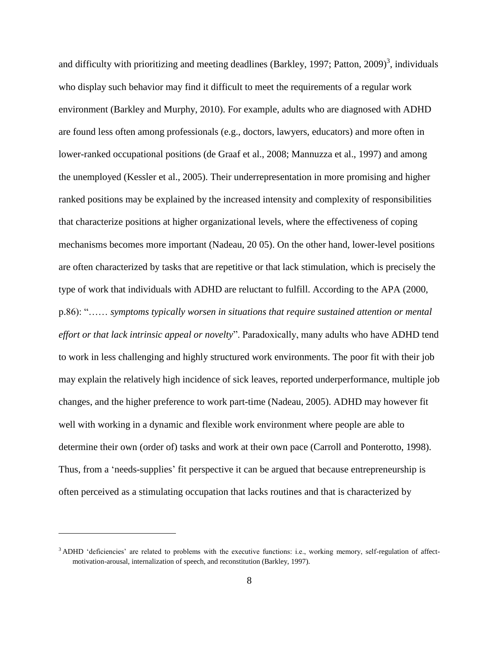and difficulty with prioritizing and meeting deadlines (Barkley, 1997; Patton, 2009)<sup>3</sup>, individuals who display such behavior may find it difficult to meet the requirements of a regular work environment (Barkley and Murphy, 2010). For example, adults who are diagnosed with ADHD are found less often among professionals (e.g., doctors, lawyers, educators) and more often in lower-ranked occupational positions (de Graaf et al., 2008; Mannuzza et al., 1997) and among the unemployed (Kessler et al., 2005). Their underrepresentation in more promising and higher ranked positions may be explained by the increased intensity and complexity of responsibilities that characterize positions at higher organizational levels, where the effectiveness of coping mechanisms becomes more important (Nadeau, 20 05). On the other hand, lower-level positions are often characterized by tasks that are repetitive or that lack stimulation, which is precisely the type of work that individuals with ADHD are reluctant to fulfill. According to the APA (2000, p.86): "…… *symptoms typically worsen in situations that require sustained attention or mental effort or that lack intrinsic appeal or novelty*". Paradoxically, many adults who have ADHD tend to work in less challenging and highly structured work environments. The poor fit with their job may explain the relatively high incidence of sick leaves, reported underperformance, multiple job changes, and the higher preference to work part-time (Nadeau, 2005). ADHD may however fit well with working in a dynamic and flexible work environment where people are able to determine their own (order of) tasks and work at their own pace (Carroll and Ponterotto, 1998). Thus, from a 'needs-supplies' fit perspective it can be argued that because entrepreneurship is often perceived as a stimulating occupation that lacks routines and that is characterized by

1

<sup>&</sup>lt;sup>3</sup> ADHD 'deficiencies' are related to problems with the executive functions: i.e., working memory, self-regulation of affectmotivation-arousal, internalization of speech, and reconstitution (Barkley, 1997).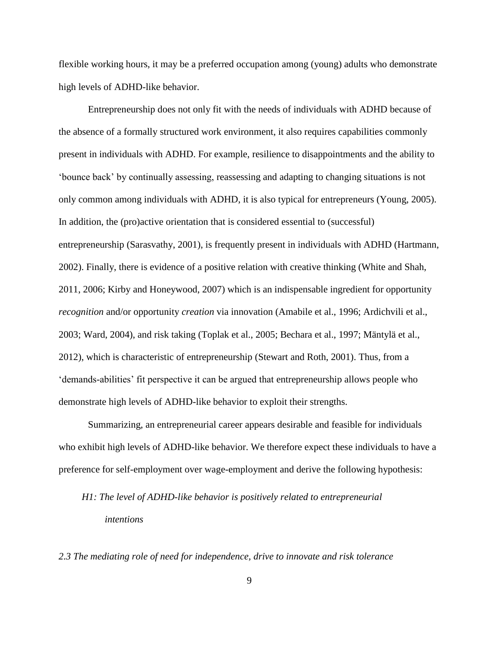flexible working hours, it may be a preferred occupation among (young) adults who demonstrate high levels of ADHD-like behavior.

Entrepreneurship does not only fit with the needs of individuals with ADHD because of the absence of a formally structured work environment, it also requires capabilities commonly present in individuals with ADHD. For example, resilience to disappointments and the ability to 'bounce back' by continually assessing, reassessing and adapting to changing situations is not only common among individuals with ADHD, it is also typical for entrepreneurs (Young, 2005). In addition, the (pro)active orientation that is considered essential to (successful) entrepreneurship (Sarasvathy, 2001), is frequently present in individuals with ADHD (Hartmann, 2002). Finally, there is evidence of a positive relation with creative thinking (White and Shah, 2011, 2006; Kirby and Honeywood, 2007) which is an indispensable ingredient for opportunity *recognition* and/or opportunity *creation* via innovation (Amabile et al., 1996; Ardichvili et al., 2003; Ward, 2004), and risk taking (Toplak et al., 2005; Bechara et al., 1997; Mäntylä et al., 2012), which is characteristic of entrepreneurship (Stewart and Roth, 2001). Thus, from a 'demands-abilities' fit perspective it can be argued that entrepreneurship allows people who demonstrate high levels of ADHD-like behavior to exploit their strengths.

Summarizing, an entrepreneurial career appears desirable and feasible for individuals who exhibit high levels of ADHD-like behavior. We therefore expect these individuals to have a preference for self-employment over wage-employment and derive the following hypothesis:

## *H1: The level of ADHD-like behavior is positively related to entrepreneurial intentions*

*2.3 The mediating role of need for independence, drive to innovate and risk tolerance*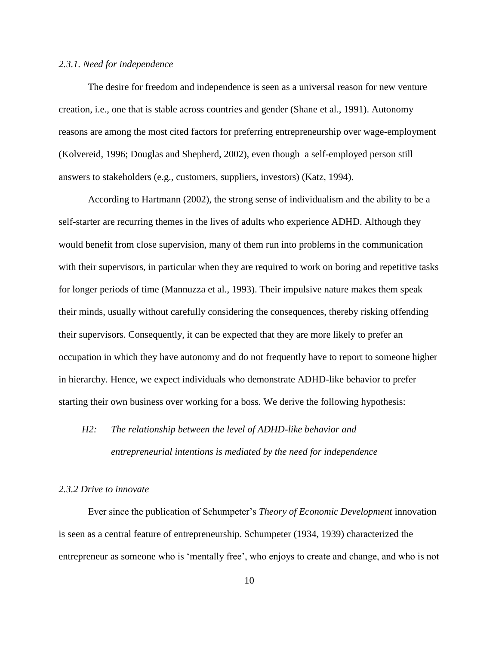#### *2.3.1. Need for independence*

The desire for freedom and independence is seen as a universal reason for new venture creation, i.e., one that is stable across countries and gender (Shane et al., 1991). Autonomy reasons are among the most cited factors for preferring entrepreneurship over wage-employment (Kolvereid, 1996; Douglas and Shepherd, 2002), even though a self-employed person still answers to stakeholders (e.g., customers, suppliers, investors) (Katz, 1994).

According to Hartmann (2002), the strong sense of individualism and the ability to be a self-starter are recurring themes in the lives of adults who experience ADHD. Although they would benefit from close supervision, many of them run into problems in the communication with their supervisors, in particular when they are required to work on boring and repetitive tasks for longer periods of time (Mannuzza et al., 1993). Their impulsive nature makes them speak their minds, usually without carefully considering the consequences, thereby risking offending their supervisors. Consequently, it can be expected that they are more likely to prefer an occupation in which they have autonomy and do not frequently have to report to someone higher in hierarchy. Hence, we expect individuals who demonstrate ADHD-like behavior to prefer starting their own business over working for a boss. We derive the following hypothesis:

# *H2: The relationship between the level of ADHD-like behavior and entrepreneurial intentions is mediated by the need for independence*

#### *2.3.2 Drive to innovate*

Ever since the publication of Schumpeter's *Theory of Economic Development* innovation is seen as a central feature of entrepreneurship. Schumpeter (1934, 1939) characterized the entrepreneur as someone who is 'mentally free', who enjoys to create and change, and who is not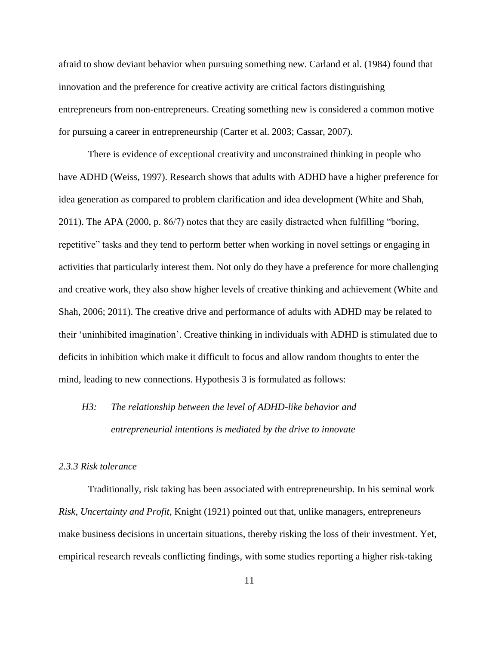afraid to show deviant behavior when pursuing something new. Carland et al. (1984) found that innovation and the preference for creative activity are critical factors distinguishing entrepreneurs from non-entrepreneurs. Creating something new is considered a common motive for pursuing a career in entrepreneurship (Carter et al. 2003; Cassar, 2007).

There is evidence of exceptional creativity and unconstrained thinking in people who have ADHD (Weiss, 1997). Research shows that adults with ADHD have a higher preference for idea generation as compared to problem clarification and idea development (White and Shah, 2011). The APA (2000, p. 86/7) notes that they are easily distracted when fulfilling "boring, repetitive" tasks and they tend to perform better when working in novel settings or engaging in activities that particularly interest them. Not only do they have a preference for more challenging and creative work, they also show higher levels of creative thinking and achievement (White and Shah, 2006; 2011). The creative drive and performance of adults with ADHD may be related to their 'uninhibited imagination'. Creative thinking in individuals with ADHD is stimulated due to deficits in inhibition which make it difficult to focus and allow random thoughts to enter the mind, leading to new connections. Hypothesis 3 is formulated as follows:

## *H3: The relationship between the level of ADHD-like behavior and entrepreneurial intentions is mediated by the drive to innovate*

## *2.3.3 Risk tolerance*

Traditionally, risk taking has been associated with entrepreneurship. In his seminal work *Risk, Uncertainty and Profit*, Knight (1921) pointed out that, unlike managers, entrepreneurs make business decisions in uncertain situations, thereby risking the loss of their investment. Yet, empirical research reveals conflicting findings, with some studies reporting a higher risk-taking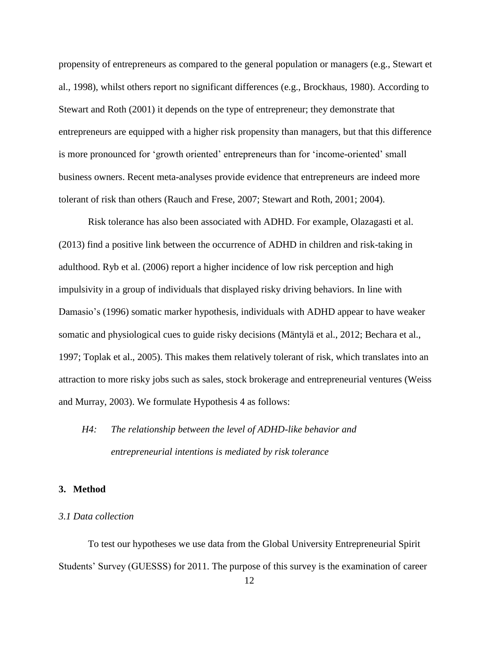propensity of entrepreneurs as compared to the general population or managers (e.g., Stewart et al., 1998), whilst others report no significant differences (e.g., Brockhaus, 1980). According to Stewart and Roth (2001) it depends on the type of entrepreneur; they demonstrate that entrepreneurs are equipped with a higher risk propensity than managers, but that this difference is more pronounced for 'growth oriented' entrepreneurs than for 'income-oriented' small business owners. Recent meta-analyses provide evidence that entrepreneurs are indeed more tolerant of risk than others (Rauch and Frese, 2007; Stewart and Roth, 2001; 2004).

Risk tolerance has also been associated with ADHD. For example, Olazagasti et al. (2013) find a positive link between the occurrence of ADHD in children and risk-taking in adulthood. Ryb et al. (2006) report a higher incidence of low risk perception and high impulsivity in a group of individuals that displayed risky driving behaviors. In line with Damasio's (1996) somatic marker hypothesis, individuals with ADHD appear to have weaker somatic and physiological cues to guide risky decisions (Mäntylä et al., 2012; Bechara et al., 1997; Toplak et al., 2005). This makes them relatively tolerant of risk, which translates into an attraction to more risky jobs such as sales, stock brokerage and entrepreneurial ventures (Weiss and Murray, 2003). We formulate Hypothesis 4 as follows:

## *H4: The relationship between the level of ADHD-like behavior and entrepreneurial intentions is mediated by risk tolerance*

#### **3. Method**

## *3.1 Data collection*

To test our hypotheses we use data from the Global University Entrepreneurial Spirit Students' Survey (GUESSS) for 2011. The purpose of this survey is the examination of career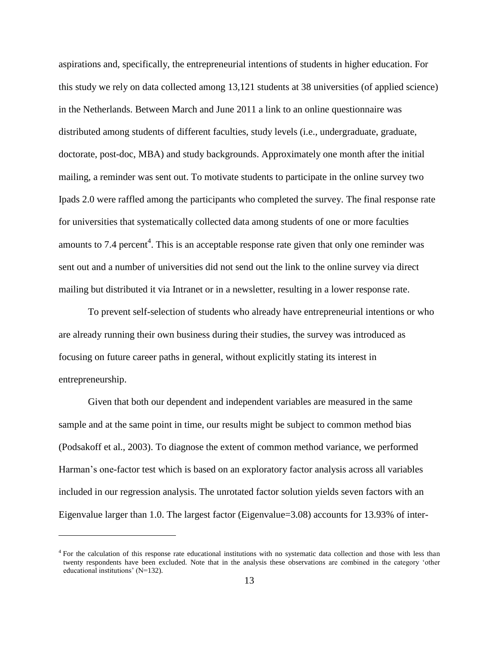aspirations and, specifically, the entrepreneurial intentions of students in higher education. For this study we rely on data collected among 13,121 students at 38 universities (of applied science) in the Netherlands. Between March and June 2011 a link to an online questionnaire was distributed among students of different faculties, study levels (i.e., undergraduate, graduate, doctorate, post-doc, MBA) and study backgrounds. Approximately one month after the initial mailing, a reminder was sent out. To motivate students to participate in the online survey two Ipads 2.0 were raffled among the participants who completed the survey. The final response rate for universities that systematically collected data among students of one or more faculties amounts to 7.4 percent<sup>4</sup>. This is an acceptable response rate given that only one reminder was sent out and a number of universities did not send out the link to the online survey via direct mailing but distributed it via Intranet or in a newsletter, resulting in a lower response rate.

To prevent self-selection of students who already have entrepreneurial intentions or who are already running their own business during their studies, the survey was introduced as focusing on future career paths in general, without explicitly stating its interest in entrepreneurship.

Given that both our dependent and independent variables are measured in the same sample and at the same point in time, our results might be subject to common method bias (Podsakoff et al., 2003). To diagnose the extent of common method variance, we performed Harman's one-factor test which is based on an exploratory factor analysis across all variables included in our regression analysis. The unrotated factor solution yields seven factors with an Eigenvalue larger than 1.0. The largest factor (Eigenvalue=3.08) accounts for 13.93% of inter-

-

<sup>&</sup>lt;sup>4</sup> For the calculation of this response rate educational institutions with no systematic data collection and those with less than twenty respondents have been excluded. Note that in the analysis these observations are combined in the category 'other educational institutions' (N=132).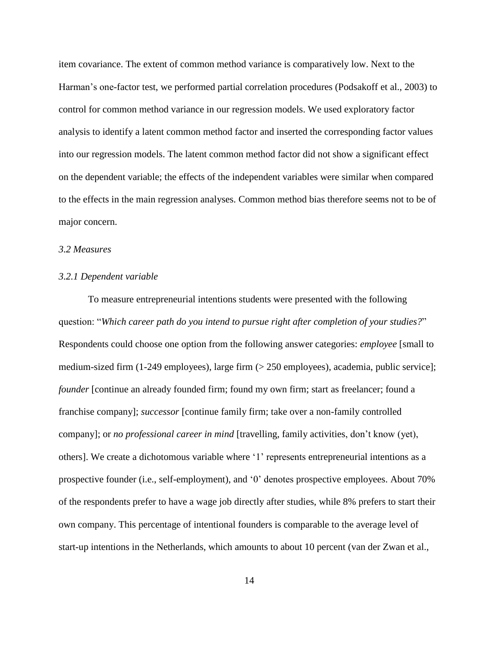item covariance. The extent of common method variance is comparatively low. Next to the Harman's one-factor test, we performed partial correlation procedures (Podsakoff et al., 2003) to control for common method variance in our regression models. We used exploratory factor analysis to identify a latent common method factor and inserted the corresponding factor values into our regression models. The latent common method factor did not show a significant effect on the dependent variable; the effects of the independent variables were similar when compared to the effects in the main regression analyses. Common method bias therefore seems not to be of major concern.

## *3.2 Measures*

#### *3.2.1 Dependent variable*

To measure entrepreneurial intentions students were presented with the following question: "*Which career path do you intend to pursue right after completion of your studies?*" Respondents could choose one option from the following answer categories: *employee* [small to medium-sized firm (1-249 employees), large firm (> 250 employees), academia, public service]; *founder* [continue an already founded firm; found my own firm; start as freelancer; found a franchise company]; *successor* [continue family firm; take over a non-family controlled company]; or *no professional career in mind* [travelling, family activities, don't know (yet), others]. We create a dichotomous variable where '1' represents entrepreneurial intentions as a prospective founder (i.e., self-employment), and '0' denotes prospective employees. About 70% of the respondents prefer to have a wage job directly after studies, while 8% prefers to start their own company. This percentage of intentional founders is comparable to the average level of start-up intentions in the Netherlands, which amounts to about 10 percent (van der Zwan et al.,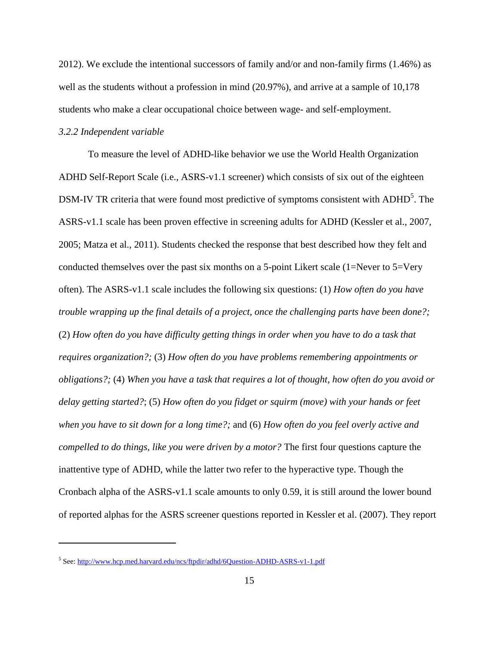2012). We exclude the intentional successors of family and/or and non-family firms (1.46%) as well as the students without a profession in mind (20.97%), and arrive at a sample of 10.178 students who make a clear occupational choice between wage- and self-employment.

#### *3.2.2 Independent variable*

-

To measure the level of ADHD-like behavior we use the World Health Organization ADHD Self-Report Scale (i.e., ASRS-v1.1 screener) which consists of six out of the eighteen DSM-IV TR criteria that were found most predictive of symptoms consistent with ADHD<sup>5</sup>. The ASRS-v1.1 scale has been proven effective in screening adults for ADHD (Kessler et al., 2007, 2005; Matza et al., 2011). Students checked the response that best described how they felt and conducted themselves over the past six months on a 5-point Likert scale  $(1=Never to 5=Verv)$ often). The ASRS-v1.1 scale includes the following six questions: (1) *How often do you have trouble wrapping up the final details of a project, once the challenging parts have been done?;* (2) *How often do you have difficulty getting things in order when you have to do a task that requires organization?;* (3) *How often do you have problems remembering appointments or obligations?;* (4) *When you have a task that requires a lot of thought, how often do you avoid or delay getting started?*; (5) *How often do you fidget or squirm (move) with your hands or feet when you have to sit down for a long time?;* and (6) *How often do you feel overly active and compelled to do things, like you were driven by a motor?* The first four questions capture the inattentive type of ADHD, while the latter two refer to the hyperactive type. Though the Cronbach alpha of the ASRS-v1.1 scale amounts to only 0.59, it is still around the lower bound of reported alphas for the ASRS screener questions reported in Kessler et al. (2007). They report

<sup>&</sup>lt;sup>5</sup> See:<http://www.hcp.med.harvard.edu/ncs/ftpdir/adhd/6Question-ADHD-ASRS-v1-1.pdf>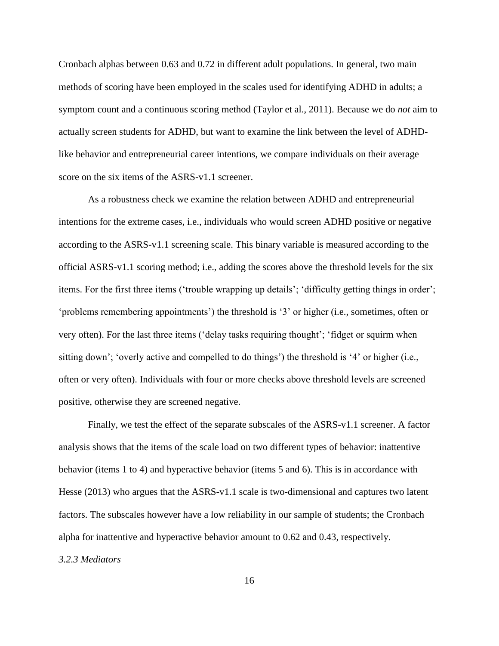Cronbach alphas between 0.63 and 0.72 in different adult populations. In general, two main methods of scoring have been employed in the scales used for identifying ADHD in adults; a symptom count and a continuous scoring method (Taylor et al., 2011). Because we do *not* aim to actually screen students for ADHD, but want to examine the link between the level of ADHDlike behavior and entrepreneurial career intentions, we compare individuals on their average score on the six items of the ASRS-v1.1 screener.

As a robustness check we examine the relation between ADHD and entrepreneurial intentions for the extreme cases, i.e., individuals who would screen ADHD positive or negative according to the ASRS-v1.1 screening scale. This binary variable is measured according to the official ASRS-v1.1 scoring method; i.e., adding the scores above the threshold levels for the six items. For the first three items ('trouble wrapping up details'; 'difficulty getting things in order'; 'problems remembering appointments') the threshold is '3' or higher (i.e., sometimes, often or very often). For the last three items ('delay tasks requiring thought'; 'fidget or squirm when sitting down'; 'overly active and compelled to do things') the threshold is '4' or higher (i.e., often or very often). Individuals with four or more checks above threshold levels are screened positive, otherwise they are screened negative.

Finally, we test the effect of the separate subscales of the ASRS-v1.1 screener. A factor analysis shows that the items of the scale load on two different types of behavior: inattentive behavior (items 1 to 4) and hyperactive behavior (items 5 and 6). This is in accordance with Hesse (2013) who argues that the ASRS-v1.1 scale is two-dimensional and captures two latent factors. The subscales however have a low reliability in our sample of students; the Cronbach alpha for inattentive and hyperactive behavior amount to 0.62 and 0.43, respectively. *3.2.3 Mediators*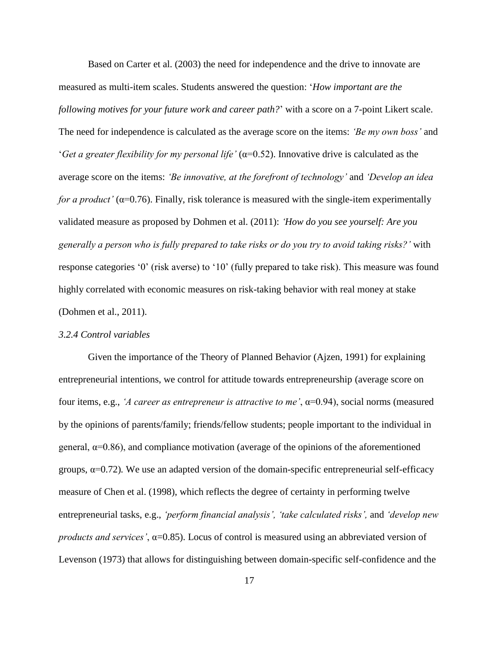Based on Carter et al. (2003) the need for independence and the drive to innovate are measured as multi-item scales. Students answered the question: '*How important are the following motives for your future work and career path?*' with a score on a 7-point Likert scale. The need for independence is calculated as the average score on the items: *'Be my own boss'* and '*Get a greater flexibility for my personal life'* (α=0.52). Innovative drive is calculated as the average score on the items: *'Be innovative, at the forefront of technology'* and *'Develop an idea for a product'* ( $\alpha$ =0.76). Finally, risk tolerance is measured with the single-item experimentally validated measure as proposed by Dohmen et al. (2011): *'How do you see yourself: Are you generally a person who is fully prepared to take risks or do you try to avoid taking risks?'* with response categories '0' (risk averse) to '10' (fully prepared to take risk). This measure was found highly correlated with economic measures on risk-taking behavior with real money at stake (Dohmen et al., 2011).

## *3.2.4 Control variables*

Given the importance of the Theory of Planned Behavior (Ajzen, 1991) for explaining entrepreneurial intentions, we control for attitude towards entrepreneurship (average score on four items, e.g., *'A career as entrepreneur is attractive to me'*, α=0.94), social norms (measured by the opinions of parents/family; friends/fellow students; people important to the individual in general,  $\alpha$ =0.86), and compliance motivation (average of the opinions of the aforementioned groups,  $\alpha$ =0.72). We use an adapted version of the domain-specific entrepreneurial self-efficacy measure of Chen et al. (1998), which reflects the degree of certainty in performing twelve entrepreneurial tasks, e.g., *'perform financial analysis', 'take calculated risks',* and *'develop new products and services'*, α=0.85). Locus of control is measured using an abbreviated version of Levenson (1973) that allows for distinguishing between domain-specific self-confidence and the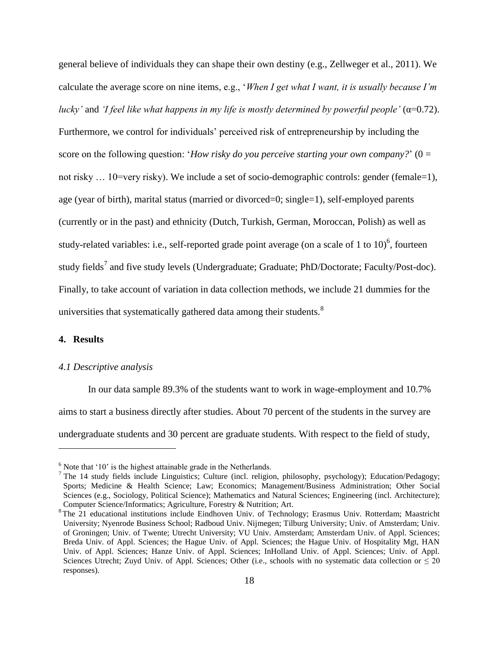general believe of individuals they can shape their own destiny (e.g., Zellweger et al., 2011). We calculate the average score on nine items, e.g., '*When I get what I want, it is usually because I'm lucky'* and *'I feel like what happens in my life is mostly determined by powerful people'* (α=0.72). Furthermore, we control for individuals' perceived risk of entrepreneurship by including the score on the following question: '*How risky do you perceive starting your own company?'*  $(0 =$ not risky ... 10=very risky). We include a set of socio-demographic controls: gender (female=1), age (year of birth), marital status (married or divorced=0; single=1), self-employed parents (currently or in the past) and ethnicity (Dutch, Turkish, German, Moroccan, Polish) as well as study-related variables: i.e., self-reported grade point average (on a scale of 1 to 10)<sup>6</sup>, fourteen study fields<sup>7</sup> and five study levels (Undergraduate; Graduate; PhD/Doctorate; Faculty/Post-doc). Finally, to take account of variation in data collection methods, we include 21 dummies for the universities that systematically gathered data among their students.<sup>8</sup>

## **4. Results**

-

#### *4.1 Descriptive analysis*

In our data sample 89.3% of the students want to work in wage-employment and 10.7% aims to start a business directly after studies. About 70 percent of the students in the survey are undergraduate students and 30 percent are graduate students. With respect to the field of study,

 $6$  Note that  $10$ ' is the highest attainable grade in the Netherlands.

<sup>&</sup>lt;sup>7</sup> The 14 study fields include Linguistics; Culture (incl. religion, philosophy, psychology); Education/Pedagogy; Sports; Medicine & Health Science; Law; Economics; Management/Business Administration; Other Social Sciences (e.g., Sociology, Political Science); Mathematics and Natural Sciences; Engineering (incl. Architecture); Computer Science/Informatics; Agriculture, Forestry & Nutrition; Art.

<sup>8</sup> The 21 educational institutions include Eindhoven Univ. of Technology; Erasmus Univ. Rotterdam; Maastricht University; Nyenrode Business School; Radboud Univ. Nijmegen; Tilburg University; Univ. of Amsterdam; Univ. of Groningen; Univ. of Twente; Utrecht University; VU Univ. Amsterdam; Amsterdam Univ. of Appl. Sciences; Breda Univ. of Appl. Sciences; the Hague Univ. of Appl. Sciences; the Hague Univ. of Hospitality Mgt, HAN Univ. of Appl. Sciences; Hanze Univ. of Appl. Sciences; InHolland Univ. of Appl. Sciences; Univ. of Appl. Sciences Utrecht; Zuyd Univ. of Appl. Sciences; Other (i.e., schools with no systematic data collection or  $\leq 20$ responses).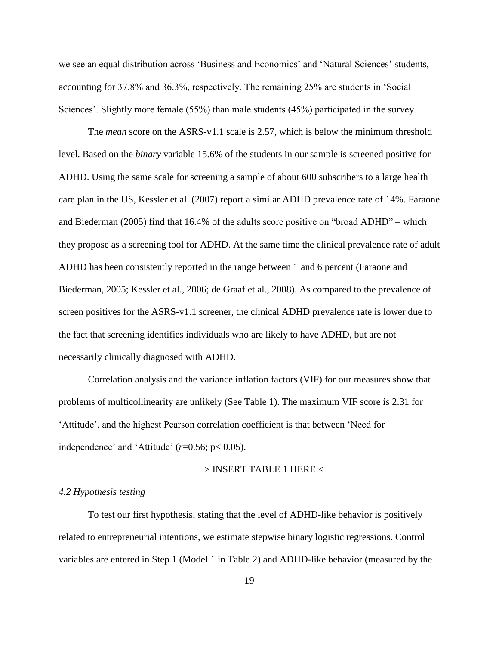we see an equal distribution across 'Business and Economics' and 'Natural Sciences' students, accounting for 37.8% and 36.3%, respectively. The remaining 25% are students in 'Social Sciences'. Slightly more female (55%) than male students (45%) participated in the survey.

The *mean* score on the ASRS-v1.1 scale is 2.57, which is below the minimum threshold level. Based on the *binary* variable 15.6% of the students in our sample is screened positive for ADHD. Using the same scale for screening a sample of about 600 subscribers to a large health care plan in the US, Kessler et al. (2007) report a similar ADHD prevalence rate of 14%. Faraone and Biederman (2005) find that 16.4% of the adults score positive on "broad ADHD" – which they propose as a screening tool for ADHD. At the same time the clinical prevalence rate of adult ADHD has been consistently reported in the range between 1 and 6 percent (Faraone and Biederman, 2005; Kessler et al., 2006; de Graaf et al., 2008). As compared to the prevalence of screen positives for the ASRS-v1.1 screener, the clinical ADHD prevalence rate is lower due to the fact that screening identifies individuals who are likely to have ADHD, but are not necessarily clinically diagnosed with ADHD.

Correlation analysis and the variance inflation factors (VIF) for our measures show that problems of multicollinearity are unlikely (See Table 1). The maximum VIF score is 2.31 for 'Attitude', and the highest Pearson correlation coefficient is that between 'Need for independence' and 'Attitude' (*r*=0.56; p< 0.05).

#### > INSERT TABLE 1 HERE <

### *4.2 Hypothesis testing*

To test our first hypothesis, stating that the level of ADHD-like behavior is positively related to entrepreneurial intentions, we estimate stepwise binary logistic regressions. Control variables are entered in Step 1 (Model 1 in Table 2) and ADHD-like behavior (measured by the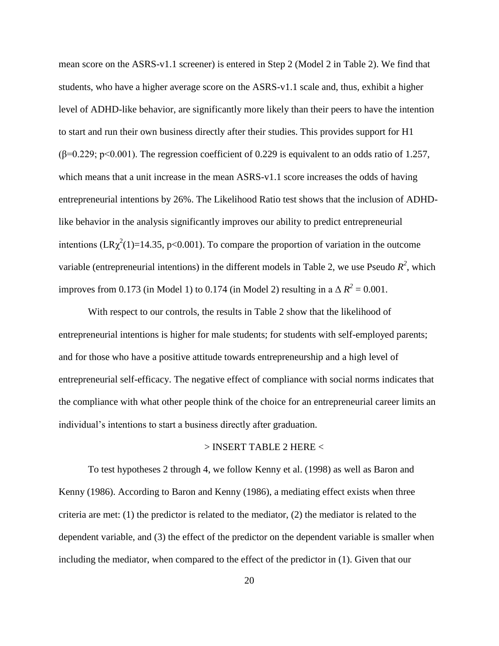mean score on the ASRS-v1.1 screener) is entered in Step 2 (Model 2 in Table 2). We find that students, who have a higher average score on the ASRS-v1.1 scale and, thus, exhibit a higher level of ADHD-like behavior, are significantly more likely than their peers to have the intention to start and run their own business directly after their studies. This provides support for H1  $(\beta=0.229; p<0.001)$ . The regression coefficient of 0.229 is equivalent to an odds ratio of 1.257, which means that a unit increase in the mean ASRS-v1.1 score increases the odds of having entrepreneurial intentions by 26%. The Likelihood Ratio test shows that the inclusion of ADHDlike behavior in the analysis significantly improves our ability to predict entrepreneurial intentions ( $LR\chi^2(1)=14.35$ , p<0.001). To compare the proportion of variation in the outcome variable (entrepreneurial intentions) in the different models in Table 2, we use Pseudo  $R^2$ , which improves from 0.173 (in Model 1) to 0.174 (in Model 2) resulting in a  $\Delta R^2 = 0.001$ .

With respect to our controls, the results in Table 2 show that the likelihood of entrepreneurial intentions is higher for male students; for students with self-employed parents; and for those who have a positive attitude towards entrepreneurship and a high level of entrepreneurial self-efficacy. The negative effect of compliance with social norms indicates that the compliance with what other people think of the choice for an entrepreneurial career limits an individual's intentions to start a business directly after graduation.

## > INSERT TABLE 2 HERE <

To test hypotheses 2 through 4, we follow Kenny et al. (1998) as well as Baron and Kenny (1986). According to Baron and Kenny (1986), a mediating effect exists when three criteria are met: (1) the predictor is related to the mediator, (2) the mediator is related to the dependent variable, and (3) the effect of the predictor on the dependent variable is smaller when including the mediator, when compared to the effect of the predictor in (1). Given that our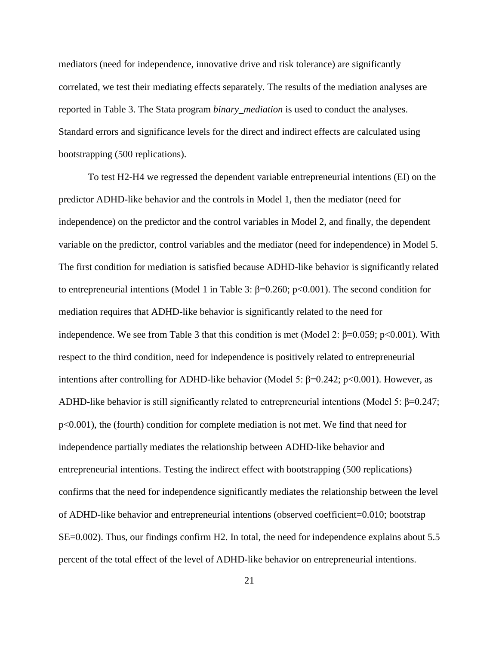mediators (need for independence, innovative drive and risk tolerance) are significantly correlated, we test their mediating effects separately. The results of the mediation analyses are reported in Table 3. The Stata program *binary\_mediation* is used to conduct the analyses. Standard errors and significance levels for the direct and indirect effects are calculated using bootstrapping (500 replications).

To test H2-H4 we regressed the dependent variable entrepreneurial intentions (EI) on the predictor ADHD-like behavior and the controls in Model 1, then the mediator (need for independence) on the predictor and the control variables in Model 2, and finally, the dependent variable on the predictor, control variables and the mediator (need for independence) in Model 5. The first condition for mediation is satisfied because ADHD-like behavior is significantly related to entrepreneurial intentions (Model 1 in Table 3: β=0.260; p<0.001). The second condition for mediation requires that ADHD-like behavior is significantly related to the need for independence. We see from Table 3 that this condition is met (Model 2:  $\beta$ =0.059; p<0.001). With respect to the third condition, need for independence is positively related to entrepreneurial intentions after controlling for ADHD-like behavior (Model 5: β=0.242; p<0.001). However, as ADHD-like behavior is still significantly related to entrepreneurial intentions (Model 5:  $\beta$ =0.247; p<0.001), the (fourth) condition for complete mediation is not met. We find that need for independence partially mediates the relationship between ADHD-like behavior and entrepreneurial intentions. Testing the indirect effect with bootstrapping (500 replications) confirms that the need for independence significantly mediates the relationship between the level of ADHD-like behavior and entrepreneurial intentions (observed coefficient=0.010; bootstrap SE=0.002). Thus, our findings confirm H2. In total, the need for independence explains about 5.5 percent of the total effect of the level of ADHD-like behavior on entrepreneurial intentions.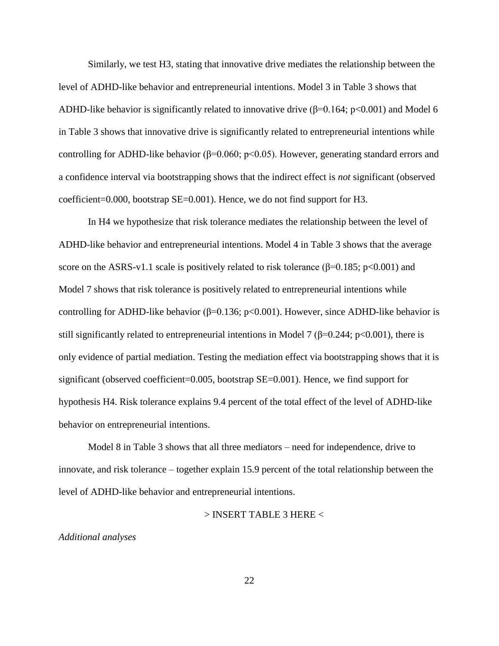Similarly, we test H3, stating that innovative drive mediates the relationship between the level of ADHD-like behavior and entrepreneurial intentions. Model 3 in Table 3 shows that ADHD-like behavior is significantly related to innovative drive  $(\beta=0.164; p<0.001)$  and Model 6 in Table 3 shows that innovative drive is significantly related to entrepreneurial intentions while controlling for ADHD-like behavior ( $\beta$ =0.060; p<0.05). However, generating standard errors and a confidence interval via bootstrapping shows that the indirect effect is *not* significant (observed coefficient=0.000, bootstrap SE=0.001). Hence, we do not find support for H3.

In H4 we hypothesize that risk tolerance mediates the relationship between the level of ADHD-like behavior and entrepreneurial intentions. Model 4 in Table 3 shows that the average score on the ASRS-v1.1 scale is positively related to risk tolerance ( $\beta$ =0.185; p<0.001) and Model 7 shows that risk tolerance is positively related to entrepreneurial intentions while controlling for ADHD-like behavior ( $\beta$ =0.136; p<0.001). However, since ADHD-like behavior is still significantly related to entrepreneurial intentions in Model 7 ( $\beta$ =0.244; p<0.001), there is only evidence of partial mediation. Testing the mediation effect via bootstrapping shows that it is significant (observed coefficient=0.005, bootstrap SE=0.001). Hence, we find support for hypothesis H4. Risk tolerance explains 9.4 percent of the total effect of the level of ADHD-like behavior on entrepreneurial intentions.

Model 8 in Table 3 shows that all three mediators – need for independence, drive to innovate, and risk tolerance – together explain 15.9 percent of the total relationship between the level of ADHD-like behavior and entrepreneurial intentions.

> INSERT TABLE 3 HERE <

*Additional analyses*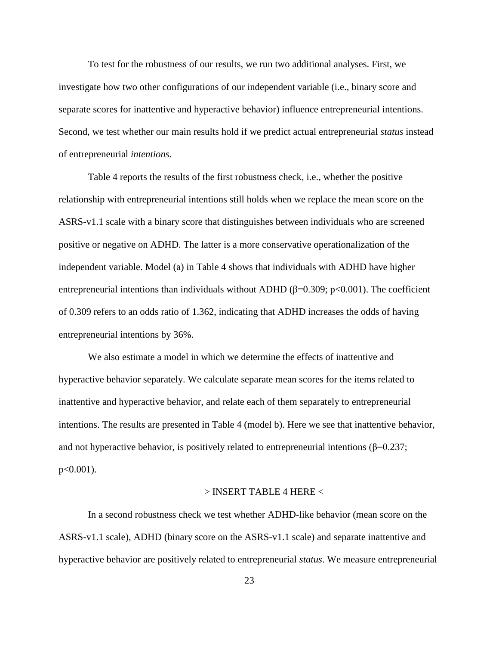To test for the robustness of our results, we run two additional analyses. First, we investigate how two other configurations of our independent variable (i.e., binary score and separate scores for inattentive and hyperactive behavior) influence entrepreneurial intentions. Second, we test whether our main results hold if we predict actual entrepreneurial *status* instead of entrepreneurial *intentions*.

Table 4 reports the results of the first robustness check, i.e., whether the positive relationship with entrepreneurial intentions still holds when we replace the mean score on the ASRS-v1.1 scale with a binary score that distinguishes between individuals who are screened positive or negative on ADHD. The latter is a more conservative operationalization of the independent variable. Model (a) in Table 4 shows that individuals with ADHD have higher entrepreneurial intentions than individuals without ADHD ( $\beta$ =0.309; p<0.001). The coefficient of 0.309 refers to an odds ratio of 1.362, indicating that ADHD increases the odds of having entrepreneurial intentions by 36%.

We also estimate a model in which we determine the effects of inattentive and hyperactive behavior separately. We calculate separate mean scores for the items related to inattentive and hyperactive behavior, and relate each of them separately to entrepreneurial intentions. The results are presented in Table 4 (model b). Here we see that inattentive behavior, and not hyperactive behavior, is positively related to entrepreneurial intentions ( $\beta$ =0.237; p<0.001).

#### > INSERT TABLE 4 HERE <

In a second robustness check we test whether ADHD-like behavior (mean score on the ASRS-v1.1 scale), ADHD (binary score on the ASRS-v1.1 scale) and separate inattentive and hyperactive behavior are positively related to entrepreneurial *status*. We measure entrepreneurial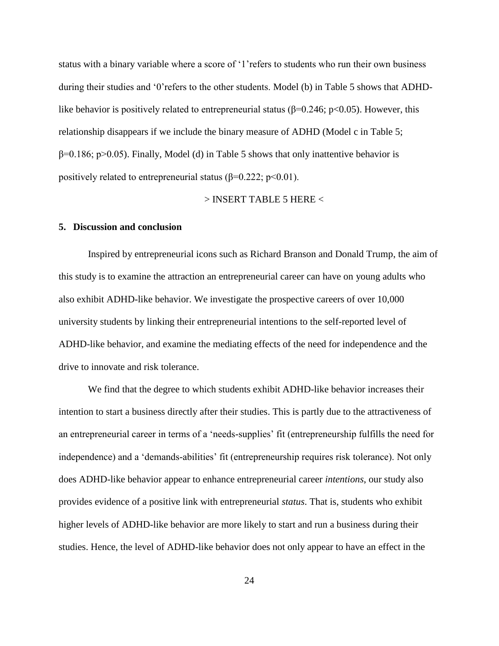status with a binary variable where a score of '1'refers to students who run their own business during their studies and '0'refers to the other students. Model (b) in Table 5 shows that ADHDlike behavior is positively related to entrepreneurial status ( $\beta$ =0.246; p<0.05). However, this relationship disappears if we include the binary measure of ADHD (Model c in Table 5;  $\beta$ =0.186; p>0.05). Finally, Model (d) in Table 5 shows that only inattentive behavior is positively related to entrepreneurial status ( $\beta$ =0.222; p<0.01).

#### $>$  INSERT TABLE 5 HERE  $<$

#### **5. Discussion and conclusion**

Inspired by entrepreneurial icons such as Richard Branson and Donald Trump, the aim of this study is to examine the attraction an entrepreneurial career can have on young adults who also exhibit ADHD-like behavior. We investigate the prospective careers of over 10,000 university students by linking their entrepreneurial intentions to the self-reported level of ADHD-like behavior, and examine the mediating effects of the need for independence and the drive to innovate and risk tolerance.

We find that the degree to which students exhibit ADHD-like behavior increases their intention to start a business directly after their studies. This is partly due to the attractiveness of an entrepreneurial career in terms of a 'needs-supplies' fit (entrepreneurship fulfills the need for independence) and a 'demands-abilities' fit (entrepreneurship requires risk tolerance). Not only does ADHD-like behavior appear to enhance entrepreneurial career *intentions*, our study also provides evidence of a positive link with entrepreneurial *status*. That is, students who exhibit higher levels of ADHD-like behavior are more likely to start and run a business during their studies. Hence, the level of ADHD-like behavior does not only appear to have an effect in the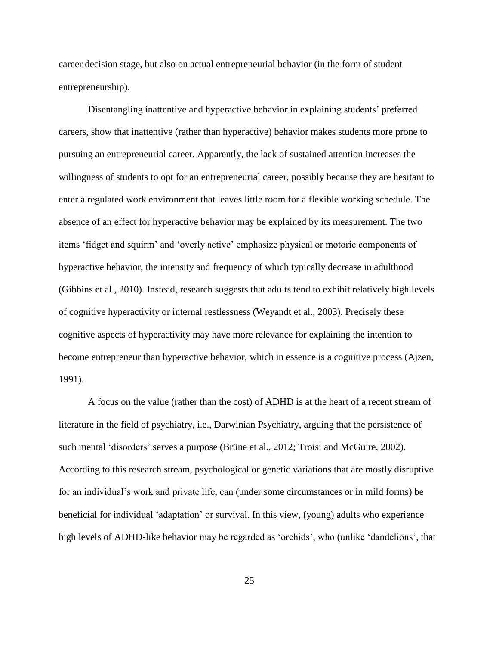career decision stage, but also on actual entrepreneurial behavior (in the form of student entrepreneurship).

Disentangling inattentive and hyperactive behavior in explaining students' preferred careers, show that inattentive (rather than hyperactive) behavior makes students more prone to pursuing an entrepreneurial career. Apparently, the lack of sustained attention increases the willingness of students to opt for an entrepreneurial career, possibly because they are hesitant to enter a regulated work environment that leaves little room for a flexible working schedule. The absence of an effect for hyperactive behavior may be explained by its measurement. The two items 'fidget and squirm' and 'overly active' emphasize physical or motoric components of hyperactive behavior, the intensity and frequency of which typically decrease in adulthood (Gibbins et al., 2010). Instead, research suggests that adults tend to exhibit relatively high levels of cognitive hyperactivity or internal restlessness (Weyandt et al., 2003). Precisely these cognitive aspects of hyperactivity may have more relevance for explaining the intention to become entrepreneur than hyperactive behavior, which in essence is a cognitive process (Ajzen, 1991).

A focus on the value (rather than the cost) of ADHD is at the heart of a recent stream of literature in the field of psychiatry, i.e., Darwinian Psychiatry, arguing that the persistence of such mental 'disorders' serves a purpose (Brüne et al., 2012; Troisi and McGuire, 2002). According to this research stream, psychological or genetic variations that are mostly disruptive for an individual's work and private life, can (under some circumstances or in mild forms) be beneficial for individual 'adaptation' or survival. In this view, (young) adults who experience high levels of ADHD-like behavior may be regarded as 'orchids', who (unlike 'dandelions', that

25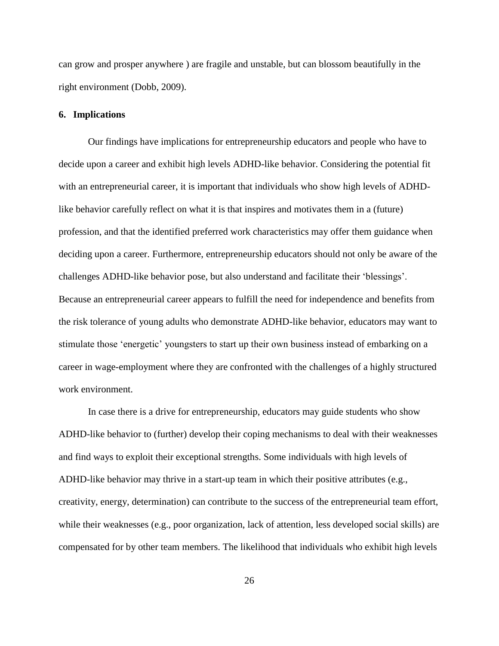can grow and prosper anywhere ) are fragile and unstable, but can blossom beautifully in the right environment (Dobb, 2009).

#### **6. Implications**

Our findings have implications for entrepreneurship educators and people who have to decide upon a career and exhibit high levels ADHD-like behavior. Considering the potential fit with an entrepreneurial career, it is important that individuals who show high levels of ADHDlike behavior carefully reflect on what it is that inspires and motivates them in a (future) profession, and that the identified preferred work characteristics may offer them guidance when deciding upon a career. Furthermore, entrepreneurship educators should not only be aware of the challenges ADHD-like behavior pose, but also understand and facilitate their 'blessings'. Because an entrepreneurial career appears to fulfill the need for independence and benefits from the risk tolerance of young adults who demonstrate ADHD-like behavior, educators may want to stimulate those 'energetic' youngsters to start up their own business instead of embarking on a career in wage-employment where they are confronted with the challenges of a highly structured work environment.

In case there is a drive for entrepreneurship, educators may guide students who show ADHD-like behavior to (further) develop their coping mechanisms to deal with their weaknesses and find ways to exploit their exceptional strengths. Some individuals with high levels of ADHD-like behavior may thrive in a start-up team in which their positive attributes (e.g., creativity, energy, determination) can contribute to the success of the entrepreneurial team effort, while their weaknesses (e.g., poor organization, lack of attention, less developed social skills) are compensated for by other team members. The likelihood that individuals who exhibit high levels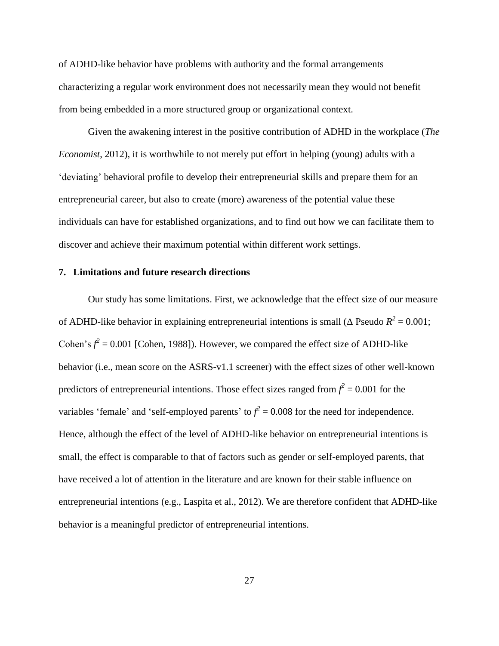of ADHD-like behavior have problems with authority and the formal arrangements characterizing a regular work environment does not necessarily mean they would not benefit from being embedded in a more structured group or organizational context.

Given the awakening interest in the positive contribution of ADHD in the workplace (*The Economist*, 2012), it is worthwhile to not merely put effort in helping (young) adults with a 'deviating' behavioral profile to develop their entrepreneurial skills and prepare them for an entrepreneurial career, but also to create (more) awareness of the potential value these individuals can have for established organizations, and to find out how we can facilitate them to discover and achieve their maximum potential within different work settings.

### **7. Limitations and future research directions**

Our study has some limitations. First, we acknowledge that the effect size of our measure of ADHD-like behavior in explaining entrepreneurial intentions is small ( $\triangle$  Pseudo  $R^2 = 0.001$ ; Cohen's  $f^2 = 0.001$  [Cohen, 1988]). However, we compared the effect size of ADHD-like behavior (i.e., mean score on the ASRS-v1.1 screener) with the effect sizes of other well-known predictors of entrepreneurial intentions. Those effect sizes ranged from  $f^2 = 0.001$  for the variables 'female' and 'self-employed parents' to  $f^2 = 0.008$  for the need for independence. Hence, although the effect of the level of ADHD-like behavior on entrepreneurial intentions is small, the effect is comparable to that of factors such as gender or self-employed parents, that have received a lot of attention in the literature and are known for their stable influence on entrepreneurial intentions (e.g., Laspita et al., 2012). We are therefore confident that ADHD-like behavior is a meaningful predictor of entrepreneurial intentions.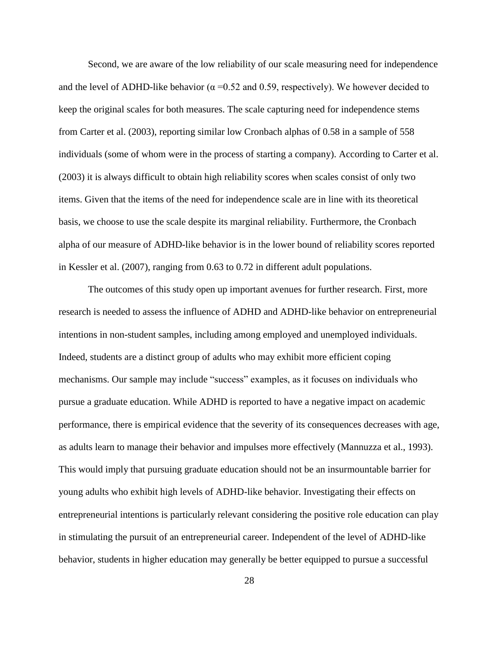Second, we are aware of the low reliability of our scale measuring need for independence and the level of ADHD-like behavior ( $\alpha$  =0.52 and 0.59, respectively). We however decided to keep the original scales for both measures. The scale capturing need for independence stems from Carter et al. (2003), reporting similar low Cronbach alphas of 0.58 in a sample of 558 individuals (some of whom were in the process of starting a company). According to Carter et al. (2003) it is always difficult to obtain high reliability scores when scales consist of only two items. Given that the items of the need for independence scale are in line with its theoretical basis, we choose to use the scale despite its marginal reliability. Furthermore, the Cronbach alpha of our measure of ADHD-like behavior is in the lower bound of reliability scores reported in Kessler et al. (2007), ranging from 0.63 to 0.72 in different adult populations.

The outcomes of this study open up important avenues for further research. First, more research is needed to assess the influence of ADHD and ADHD-like behavior on entrepreneurial intentions in non-student samples, including among employed and unemployed individuals. Indeed, students are a distinct group of adults who may exhibit more efficient coping mechanisms. Our sample may include "success" examples, as it focuses on individuals who pursue a graduate education. While ADHD is reported to have a negative impact on academic performance, there is empirical evidence that the severity of its consequences decreases with age, as adults learn to manage their behavior and impulses more effectively (Mannuzza et al., 1993). This would imply that pursuing graduate education should not be an insurmountable barrier for young adults who exhibit high levels of ADHD-like behavior. Investigating their effects on entrepreneurial intentions is particularly relevant considering the positive role education can play in stimulating the pursuit of an entrepreneurial career. Independent of the level of ADHD-like behavior, students in higher education may generally be better equipped to pursue a successful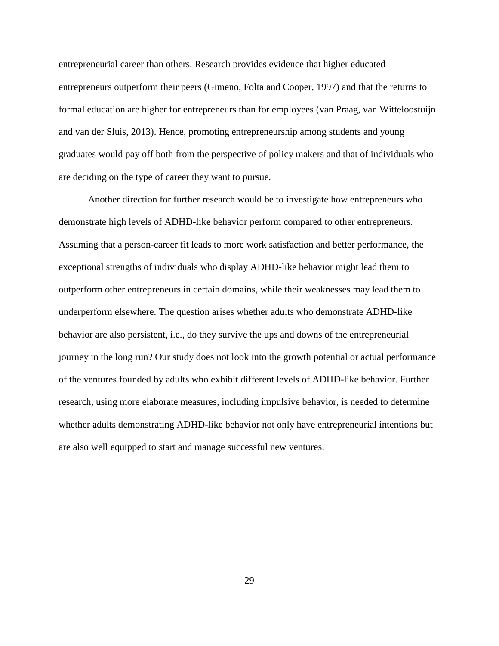entrepreneurial career than others. Research provides evidence that higher educated entrepreneurs outperform their peers (Gimeno, Folta and Cooper, 1997) and that the returns to formal education are higher for entrepreneurs than for employees (van Praag, van Witteloostuijn and van der Sluis, 2013). Hence, promoting entrepreneurship among students and young graduates would pay off both from the perspective of policy makers and that of individuals who are deciding on the type of career they want to pursue.

Another direction for further research would be to investigate how entrepreneurs who demonstrate high levels of ADHD-like behavior perform compared to other entrepreneurs. Assuming that a person-career fit leads to more work satisfaction and better performance, the exceptional strengths of individuals who display ADHD-like behavior might lead them to outperform other entrepreneurs in certain domains, while their weaknesses may lead them to underperform elsewhere. The question arises whether adults who demonstrate ADHD-like behavior are also persistent, i.e., do they survive the ups and downs of the entrepreneurial journey in the long run? Our study does not look into the growth potential or actual performance of the ventures founded by adults who exhibit different levels of ADHD-like behavior. Further research, using more elaborate measures, including impulsive behavior, is needed to determine whether adults demonstrating ADHD-like behavior not only have entrepreneurial intentions but are also well equipped to start and manage successful new ventures.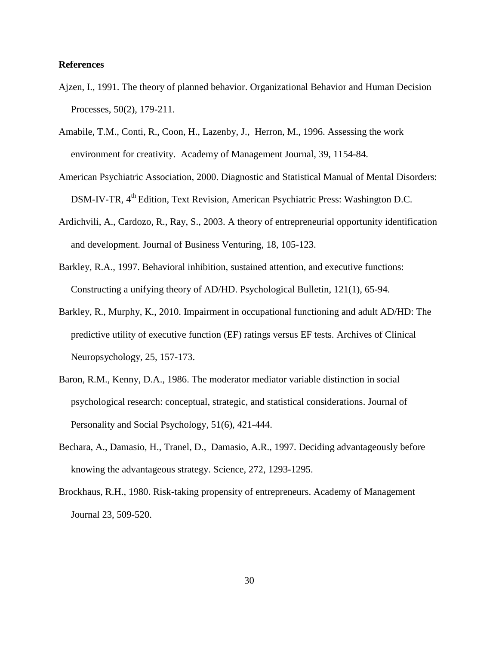#### **References**

- Ajzen, I., 1991. The theory of planned behavior. Organizational Behavior and Human Decision Processes, 50(2), 179-211.
- Amabile, T.M., Conti, R., Coon, H., Lazenby, J., Herron, M., 1996. Assessing the work environment for creativity. Academy of Management Journal, 39, 1154-84.
- American Psychiatric Association, 2000. Diagnostic and Statistical Manual of Mental Disorders: DSM-IV-TR, 4<sup>th</sup> Edition, Text Revision, American Psychiatric Press: Washington D.C.
- Ardichvili, A., Cardozo, R., Ray, S., 2003. A theory of entrepreneurial opportunity identification and development. Journal of Business Venturing, 18, 105-123.
- Barkley, R.A., 1997. Behavioral inhibition, sustained attention, and executive functions: Constructing a unifying theory of AD/HD. Psychological Bulletin, 121(1), 65-94.
- Barkley, R., Murphy, K., 2010. Impairment in occupational functioning and adult AD/HD: The predictive utility of executive function (EF) ratings versus EF tests. Archives of Clinical Neuropsychology, 25, 157-173.
- Baron, R.M., Kenny, D.A., 1986. The moderator mediator variable distinction in social psychological research: conceptual, strategic, and statistical considerations. Journal of Personality and Social Psychology, 51(6), 421-444.
- Bechara, A., Damasio, H., Tranel, D., Damasio, A.R., 1997. Deciding advantageously before knowing the advantageous strategy. Science, 272, 1293-1295.
- Brockhaus, R.H., 1980. Risk-taking propensity of entrepreneurs. Academy of Management Journal 23, 509-520.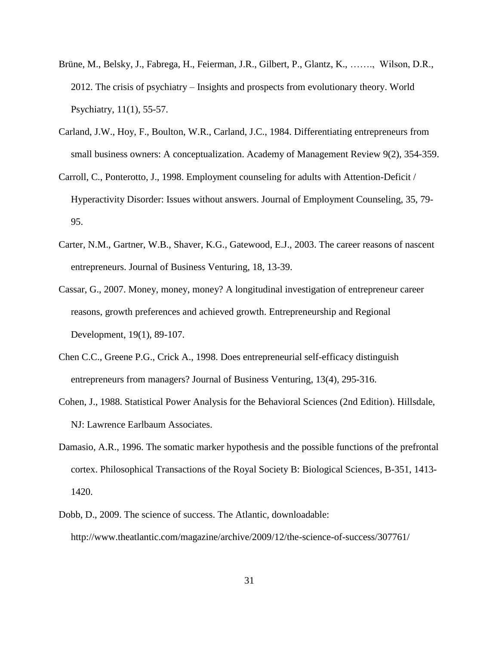- Brüne, M., Belsky, J., Fabrega, H., Feierman, J.R., Gilbert, P., Glantz, K., ……., Wilson, D.R., 2012. The crisis of psychiatry – Insights and prospects from evolutionary theory. World Psychiatry, 11(1), 55-57.
- Carland, J.W., Hoy, F., Boulton, W.R., Carland, J.C., 1984. Differentiating entrepreneurs from small business owners: A conceptualization. Academy of Management Review 9(2), 354-359.
- Carroll, C., Ponterotto, J., 1998. Employment counseling for adults with Attention-Deficit / Hyperactivity Disorder: Issues without answers. Journal of Employment Counseling, 35, 79- 95.
- Carter, N.M., Gartner, W.B., Shaver, K.G., Gatewood, E.J., 2003. The career reasons of nascent entrepreneurs. Journal of Business Venturing, 18, 13-39.
- Cassar, G., 2007. Money, money, money? A longitudinal investigation of entrepreneur career reasons, growth preferences and achieved growth. Entrepreneurship and Regional Development, 19(1), 89-107.
- Chen C.C., Greene P.G., Crick A., 1998. Does entrepreneurial self-efficacy distinguish entrepreneurs from managers? Journal of Business Venturing, 13(4), 295-316.
- Cohen, J., 1988. Statistical Power Analysis for the Behavioral Sciences (2nd Edition). Hillsdale, NJ: Lawrence Earlbaum Associates.
- Damasio, A.R., 1996. The somatic marker hypothesis and the possible functions of the prefrontal cortex. Philosophical Transactions of the Royal Society B: Biological Sciences, B-351, 1413- 1420.
- Dobb, D., 2009. The science of success. The Atlantic, downloadable: http://www.theatlantic.com/magazine/archive/2009/12/the-science-of-success/307761/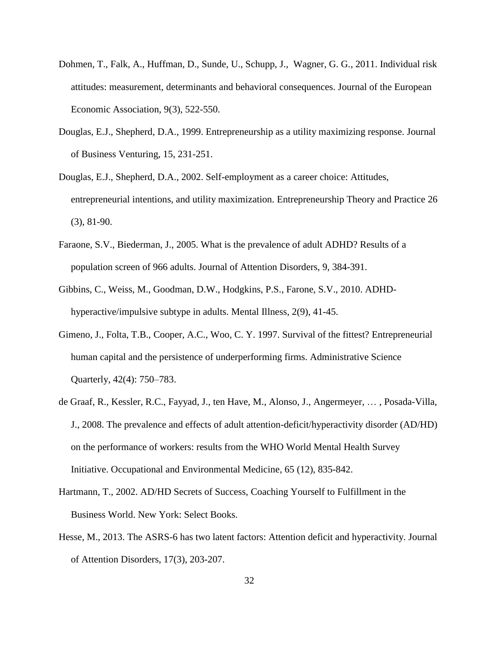- Dohmen, T., Falk, A., Huffman, D., Sunde, U., Schupp, J., Wagner, G. G., 2011. Individual risk attitudes: measurement, determinants and behavioral consequences. Journal of the European Economic Association, 9(3), 522-550.
- Douglas, E.J., Shepherd, D.A., 1999. Entrepreneurship as a utility maximizing response. Journal of Business Venturing, 15, 231-251.
- Douglas, E.J., Shepherd, D.A., 2002. Self-employment as a career choice: Attitudes, entrepreneurial intentions, and utility maximization. Entrepreneurship Theory and Practice 26 (3), 81-90.
- Faraone, S.V., Biederman, J., 2005. What is the prevalence of adult ADHD? Results of a population screen of 966 adults. Journal of Attention Disorders, 9, 384-391.
- Gibbins, C., Weiss, M., Goodman, D.W., Hodgkins, P.S., Farone, S.V., 2010. ADHDhyperactive/impulsive subtype in adults. Mental Illness, 2(9), 41-45.
- Gimeno, J., Folta, T.B., Cooper, A.C., Woo, C. Y. 1997. Survival of the fittest? Entrepreneurial human capital and the persistence of underperforming firms. Administrative Science Quarterly, 42(4): 750–783.
- de Graaf, R., Kessler, R.C., Fayyad, J., ten Have, M., Alonso, J., Angermeyer, … , Posada-Villa, J., 2008. The prevalence and effects of adult attention-deficit/hyperactivity disorder (AD/HD) on the performance of workers: results from the WHO World Mental Health Survey Initiative. Occupational and Environmental Medicine, 65 (12), 835-842.
- Hartmann, T., 2002. AD/HD Secrets of Success, Coaching Yourself to Fulfillment in the Business World. New York: Select Books.
- Hesse, M., 2013. The ASRS-6 has two latent factors: Attention deficit and hyperactivity. Journal of Attention Disorders, 17(3), 203-207.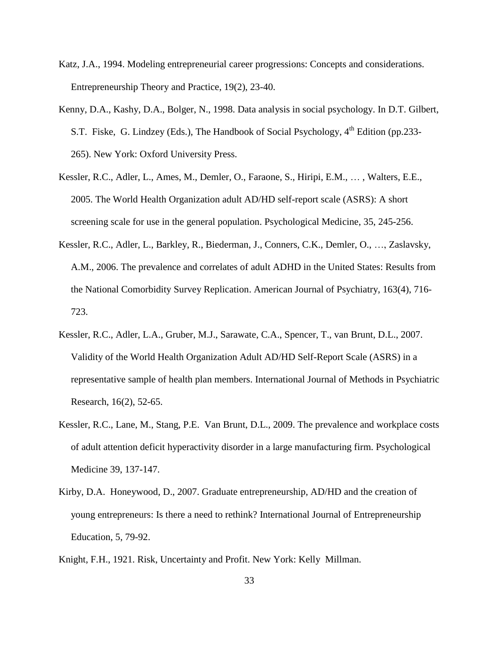- Katz, J.A., 1994. Modeling entrepreneurial career progressions: Concepts and considerations. Entrepreneurship Theory and Practice, 19(2), 23-40.
- Kenny, D.A., Kashy, D.A., Bolger, N., 1998. Data analysis in social psychology. In D.T. Gilbert, S.T. Fiske, G. Lindzey (Eds.), The Handbook of Social Psychology,  $4<sup>th</sup>$  Edition (pp.233-265). New York: Oxford University Press.
- Kessler, R.C., Adler, L., Ames, M., Demler, O., Faraone, S., Hiripi, E.M., … , Walters, E.E., 2005. The World Health Organization adult AD/HD self-report scale (ASRS): A short screening scale for use in the general population. Psychological Medicine, 35, 245-256.
- Kessler, R.C., Adler, L., Barkley, R., Biederman, J., Conners, C.K., Demler, O., …, Zaslavsky, A.M., 2006. The prevalence and correlates of adult ADHD in the United States: Results from the National Comorbidity Survey Replication. American Journal of Psychiatry, 163(4), 716- 723.
- Kessler, R.C., Adler, L.A., Gruber, M.J., Sarawate, C.A., Spencer, T., van Brunt, D.L., 2007. Validity of the World Health Organization Adult AD/HD Self-Report Scale (ASRS) in a representative sample of health plan members. International Journal of Methods in Psychiatric Research, 16(2), 52-65.
- Kessler, R.C., Lane, M., Stang, P.E. Van Brunt, D.L., 2009. The prevalence and workplace costs of adult attention deficit hyperactivity disorder in a large manufacturing firm. Psychological Medicine 39, 137-147.
- Kirby, D.A. Honeywood, D., 2007. Graduate entrepreneurship, AD/HD and the creation of young entrepreneurs: Is there a need to rethink? International Journal of Entrepreneurship Education, 5, 79-92.
- Knight, F.H., 1921. Risk, Uncertainty and Profit. New York: Kelly Millman.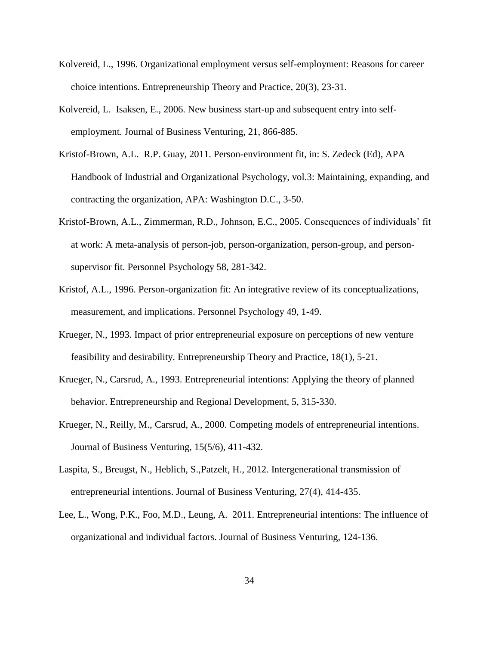- Kolvereid, L., 1996. Organizational employment versus self-employment: Reasons for career choice intentions. Entrepreneurship Theory and Practice, 20(3), 23-31.
- Kolvereid, L. Isaksen, E., 2006. New business start-up and subsequent entry into selfemployment. Journal of Business Venturing, 21, 866-885.
- Kristof-Brown, A.L. R.P. Guay, 2011. Person-environment fit, in: S. Zedeck (Ed), APA Handbook of Industrial and Organizational Psychology, vol.3: Maintaining, expanding, and contracting the organization, APA: Washington D.C., 3-50.
- Kristof-Brown, A.L., Zimmerman, R.D., Johnson, E.C., 2005. Consequences of individuals' fit at work: A meta-analysis of person-job, person-organization, person-group, and personsupervisor fit. Personnel Psychology 58, 281-342.
- Kristof, A.L., 1996. Person-organization fit: An integrative review of its conceptualizations, measurement, and implications. Personnel Psychology 49, 1-49.
- Krueger, N., 1993. Impact of prior entrepreneurial exposure on perceptions of new venture feasibility and desirability. Entrepreneurship Theory and Practice, 18(1), 5-21.
- Krueger, N., Carsrud, A., 1993. Entrepreneurial intentions: Applying the theory of planned behavior. Entrepreneurship and Regional Development, 5, 315-330.
- Krueger, N., Reilly, M., Carsrud, A., 2000. Competing models of entrepreneurial intentions. Journal of Business Venturing, 15(5/6), 411-432.
- Laspita, S., Breugst, N., Heblich, S.,Patzelt, H., 2012. [Intergenerational transmission of](http://www.sciencedirect.com/science/article/pii/S0883902611001297)  [entrepreneurial intentions.](http://www.sciencedirect.com/science/article/pii/S0883902611001297) Journal of Business Venturing, 27(4), 414-435.
- Lee, L., Wong, P.K., Foo, M.D., Leung, A. 2011. Entrepreneurial intentions: The influence of organizational and individual factors. Journal of Business Venturing, 124-136.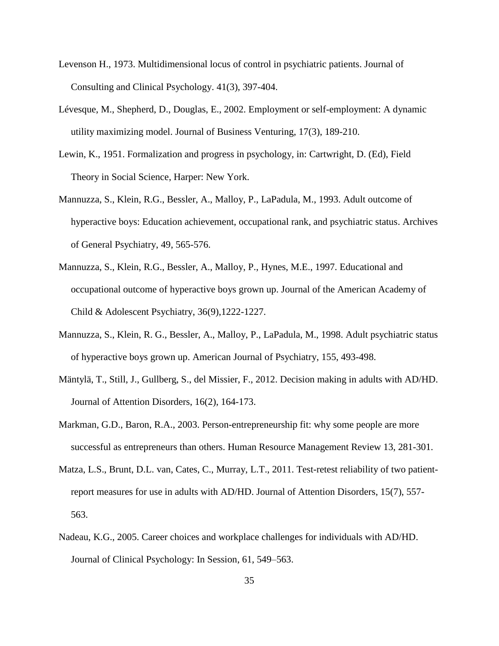- Levenson H., 1973. Multidimensional locus of control in psychiatric patients. Journal of Consulting and Clinical Psychology. 41(3), 397-404.
- Lévesque, M., Shepherd, D., Douglas, E., 2002. Employment or self-employment: A dynamic utility maximizing model. Journal of Business Venturing, 17(3), 189-210.
- Lewin, K., 1951. Formalization and progress in psychology, in: Cartwright, D. (Ed), Field Theory in Social Science, Harper: New York.
- Mannuzza, S., Klein, R.G., Bessler, A., Malloy, P., LaPadula, M., 1993. Adult outcome of hyperactive boys: Education achievement, occupational rank, and psychiatric status. Archives of General Psychiatry, 49, 565-576.
- Mannuzza, S., Klein, R.G., Bessler, A., Malloy, P., Hynes, M.E., 1997. Educational and occupational outcome of hyperactive boys grown up. Journal of the American Academy of Child & Adolescent Psychiatry, 36(9),1222-1227.
- Mannuzza, S., Klein, R. G., Bessler, A., Malloy, P., LaPadula, M., 1998. Adult psychiatric status of hyperactive boys grown up. American Journal of Psychiatry, 155, 493-498.
- Mäntylä, T., Still, J., Gullberg, S., del Missier, F., 2012. Decision making in adults with AD/HD. Journal of Attention Disorders, 16(2), 164-173.
- Markman, G.D., Baron, R.A., 2003. Person-entrepreneurship fit: why some people are more successful as entrepreneurs than others. Human Resource Management Review 13, 281-301.
- Matza, L.S., Brunt, D.L. van, Cates, C., Murray, L.T., 2011. Test-retest reliability of two patientreport measures for use in adults with AD/HD. Journal of Attention Disorders, 15(7), 557- 563.
- Nadeau, K.G., 2005. Career choices and workplace challenges for individuals with AD/HD. Journal of Clinical Psychology: In Session, 61, 549–563.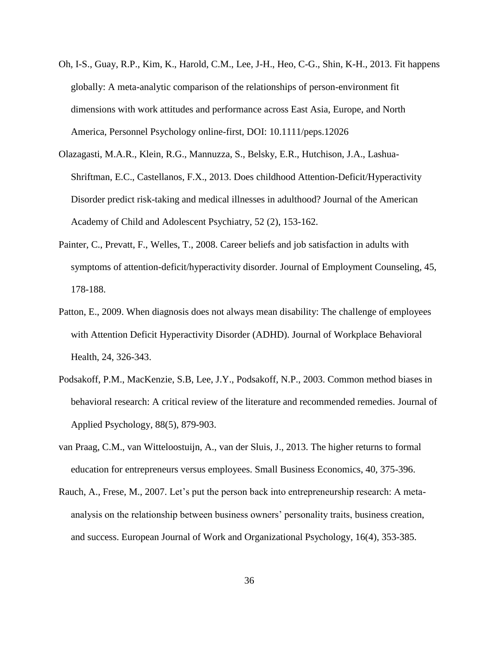- Oh, I-S., Guay, R.P., Kim, K., Harold, C.M., Lee, J-H., Heo, C-G., Shin, K-H., 2013. Fit happens globally: A meta-analytic comparison of the relationships of person-environment fit dimensions with work attitudes and performance across East Asia, Europe, and North America, Personnel Psychology online-first, DOI: 10.1111/peps.12026
- Olazagasti, M.A.R., Klein, R.G., Mannuzza, S., Belsky, E.R., Hutchison, J.A., Lashua-Shriftman, E.C., Castellanos, F.X., 2013. Does childhood Attention-Deficit/Hyperactivity Disorder predict risk-taking and medical illnesses in adulthood? Journal of the American Academy of Child and Adolescent Psychiatry, 52 (2), 153-162.
- Painter, C., Prevatt, F., Welles, T., 2008. Career beliefs and job satisfaction in adults with symptoms of attention-deficit/hyperactivity disorder. Journal of Employment Counseling, 45, 178-188.
- Patton, E., 2009. When diagnosis does not always mean disability: The challenge of employees with Attention Deficit Hyperactivity Disorder (ADHD). Journal of Workplace Behavioral Health, 24, 326-343.
- Podsakoff, P.M., MacKenzie, S.B, Lee, J.Y., Podsakoff, N.P., 2003. Common method biases in behavioral research: A critical review of the literature and recommended remedies. Journal of Applied Psychology, 88(5), 879-903.
- van Praag, C.M., van Witteloostuijn, A., van der Sluis, J., 2013. The higher returns to formal education for entrepreneurs versus employees. Small Business Economics, 40, 375-396.
- Rauch, A., Frese, M., 2007. Let's put the person back into entrepreneurship research: A metaanalysis on the relationship between business owners' personality traits, business creation, and success. European Journal of Work and Organizational Psychology, 16(4), 353-385.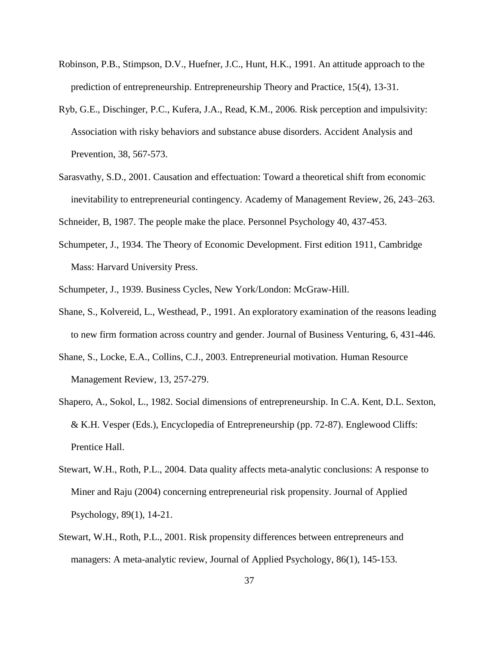- Robinson, P.B., Stimpson, D.V., Huefner, J.C., Hunt, H.K., 1991. An attitude approach to the prediction of entrepreneurship. Entrepreneurship Theory and Practice, 15(4), 13-31.
- Ryb, G.E., Dischinger, P.C., Kufera, J.A., Read, K.M., 2006. Risk perception and impulsivity: Association with risky behaviors and substance abuse disorders. Accident Analysis and Prevention, 38, 567-573.
- Sarasvathy, S.D., 2001. Causation and effectuation: Toward a theoretical shift from economic inevitability to entrepreneurial contingency. Academy of Management Review, 26, 243–263.

Schneider, B, 1987. The people make the place. Personnel Psychology 40, 437-453.

Schumpeter, J., 1934. The Theory of Economic Development. First edition 1911, Cambridge Mass: Harvard University Press.

Schumpeter, J., 1939. Business Cycles, New York/London: McGraw-Hill.

- Shane, S., Kolvereid, L., Westhead, P., 1991. An exploratory examination of the reasons leading to new firm formation across country and gender. Journal of Business Venturing, 6, 431-446.
- Shane, S., Locke, E.A., Collins, C.J., 2003. Entrepreneurial motivation. Human Resource Management Review, 13, 257-279.
- Shapero, A., Sokol, L., 1982. Social dimensions of entrepreneurship. In C.A. Kent, D.L. Sexton, & K.H. Vesper (Eds.), Encyclopedia of Entrepreneurship (pp. 72-87). Englewood Cliffs: Prentice Hall.
- Stewart, W.H., Roth, P.L., 2004. Data quality affects meta-analytic conclusions: A response to Miner and Raju (2004) concerning entrepreneurial risk propensity. Journal of Applied Psychology, 89(1), 14-21.
- Stewart, W.H., Roth, P.L., 2001. Risk propensity differences between entrepreneurs and managers: A meta-analytic review, Journal of Applied Psychology, 86(1), 145-153.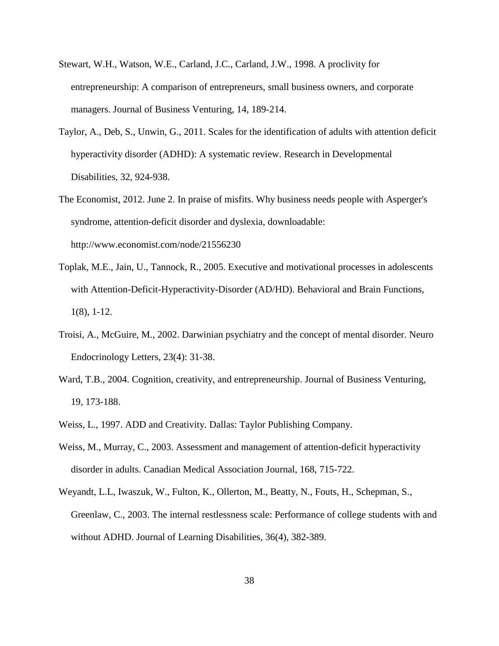- Stewart, W.H., Watson, W.E., Carland, J.C., Carland, J.W., 1998. A proclivity for entrepreneurship: A comparison of entrepreneurs, small business owners, and corporate managers. Journal of Business Venturing, 14, 189-214.
- Taylor, A., Deb, S., Unwin, G., 2011. Scales for the identification of adults with attention deficit hyperactivity disorder (ADHD): A systematic review. Research in Developmental Disabilities, 32, 924-938.
- The Economist, 2012. June 2. In praise of misfits. Why business needs people with Asperger's syndrome, attention-deficit disorder and dyslexia, downloadable: <http://www.economist.com/node/21556230>
- Toplak, M.E., Jain, U., Tannock, R., 2005. Executive and motivational processes in adolescents with Attention-Deficit-Hyperactivity-Disorder (AD/HD). Behavioral and Brain Functions, 1(8), 1-12.
- Troisi, A., McGuire, M., 2002. Darwinian psychiatry and the concept of mental disorder. Neuro Endocrinology Letters, 23(4): 31-38.
- Ward, T.B., 2004. Cognition, creativity, and entrepreneurship. Journal of Business Venturing, 19, 173-188.
- Weiss, L., 1997. ADD and Creativity. Dallas: Taylor Publishing Company.
- Weiss, M., Murray, C., 2003. Assessment and management of attention-deficit hyperactivity disorder in adults. Canadian Medical Association Journal, 168, 715-722.
- Weyandt, L.L, Iwaszuk, W., Fulton, K., Ollerton, M., Beatty, N., Fouts, H., Schepman, S., Greenlaw, C., 2003. The internal restlessness scale: Performance of college students with and without ADHD. Journal of Learning Disabilities, 36(4), 382-389.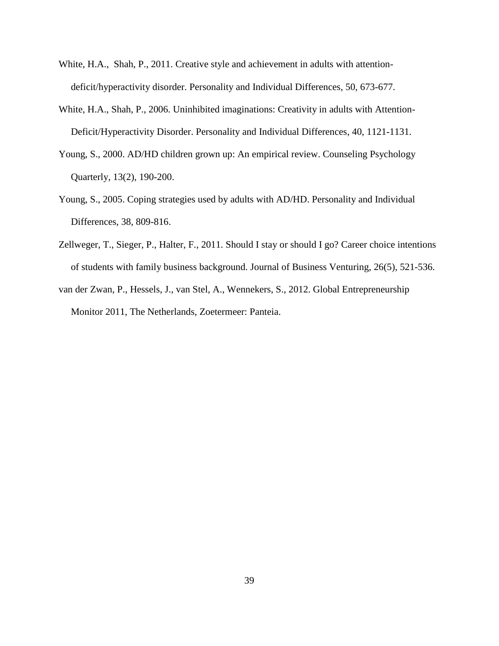- White, H.A., Shah, P., 2011. Creative style and achievement in adults with attentiondeficit/hyperactivity disorder. Personality and Individual Differences, 50, 673-677.
- White, H.A., Shah, P., 2006. Uninhibited imaginations: Creativity in adults with Attention-Deficit/Hyperactivity Disorder. Personality and Individual Differences, 40, 1121-1131.
- Young, S., 2000. AD/HD children grown up: An empirical review. Counseling Psychology Quarterly, 13(2), 190-200.
- Young, S., 2005. Coping strategies used by adults with AD/HD. Personality and Individual Differences, 38, 809-816.
- Zellweger, T., Sieger, P., Halter, F., 2011. Should I stay or should I go? Career choice intentions of students with family business background. Journal of Business Venturing, 26(5), 521-536.
- van der Zwan, P., Hessels, J., van Stel, A., Wennekers, S., 2012. Global Entrepreneurship Monitor 2011, The Netherlands, Zoetermeer: Panteia.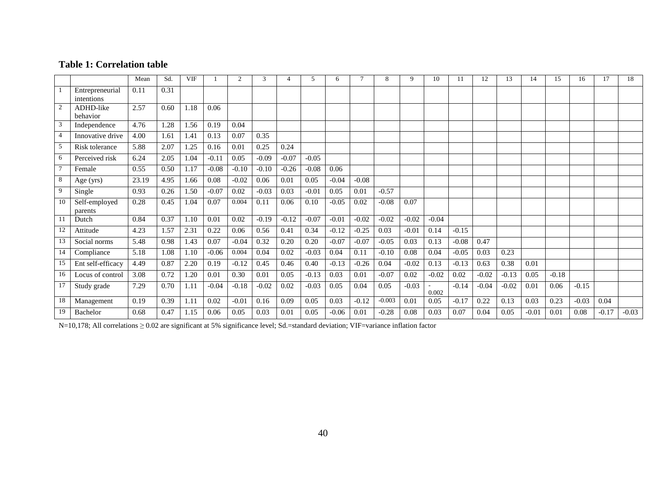## **Table 1: Correlation table**

|                |                               | Mean  | Sd.  | <b>VIF</b> |         |         | 3       |         | 5.      | 6       |         | 8        | 9       | 10      | 11      | 12      | 13      | 14      | 15      | 16      | 17      | 18      |
|----------------|-------------------------------|-------|------|------------|---------|---------|---------|---------|---------|---------|---------|----------|---------|---------|---------|---------|---------|---------|---------|---------|---------|---------|
|                | Entrepreneurial<br>intentions | 0.11  | 0.31 |            |         |         |         |         |         |         |         |          |         |         |         |         |         |         |         |         |         |         |
| $\overline{2}$ | ADHD-like<br>behavior         | 2.57  | 0.60 | 1.18       | 0.06    |         |         |         |         |         |         |          |         |         |         |         |         |         |         |         |         |         |
|                | Independence                  | 4.76  | 1.28 | 1.56       | 0.19    | 0.04    |         |         |         |         |         |          |         |         |         |         |         |         |         |         |         |         |
|                | Innovative drive              | 4.00  | 1.61 | 1.41       | 0.13    | 0.07    | 0.35    |         |         |         |         |          |         |         |         |         |         |         |         |         |         |         |
|                | Risk tolerance                | 5.88  | 2.07 | 1.25       | 0.16    | 0.01    | 0.25    | 0.24    |         |         |         |          |         |         |         |         |         |         |         |         |         |         |
| 6              | Perceived risk                | 6.24  | 2.05 | 1.04       | $-0.11$ | 0.05    | $-0.09$ | $-0.07$ | $-0.05$ |         |         |          |         |         |         |         |         |         |         |         |         |         |
|                | Female                        | 0.55  | 0.50 | 1.17       | $-0.08$ | $-0.10$ | $-0.10$ | $-0.26$ | $-0.08$ | 0.06    |         |          |         |         |         |         |         |         |         |         |         |         |
|                | Age (yrs)                     | 23.19 | 4.95 | 1.66       | 0.08    | $-0.02$ | 0.06    | 0.01    | 0.05    | $-0.04$ | $-0.08$ |          |         |         |         |         |         |         |         |         |         |         |
| 9              | Single                        | 0.93  | 0.26 | 1.50       | $-0.07$ | 0.02    | $-0.03$ | 0.03    | $-0.01$ | 0.05    | 0.01    | $-0.57$  |         |         |         |         |         |         |         |         |         |         |
| 10             | Self-employed<br>parents      | 0.28  | 0.45 | 1.04       | 0.07    | 0.004   | 0.11    | 0.06    | 0.10    | $-0.05$ | 0.02    | $-0.08$  | 0.07    |         |         |         |         |         |         |         |         |         |
|                | Dutch                         | 0.84  | 0.37 | 1.10       | 0.01    | 0.02    | $-0.19$ | $-0.12$ | $-0.07$ | $-0.01$ | $-0.02$ | $-0.02$  | $-0.02$ | $-0.04$ |         |         |         |         |         |         |         |         |
| 12             | Attitude                      | 4.23  | 1.57 | 2.31       | 0.22    | 0.06    | 0.56    | 0.41    | 0.34    | $-0.12$ | $-0.25$ | 0.03     | $-0.01$ | 0.14    | $-0.15$ |         |         |         |         |         |         |         |
| 13             | Social norms                  | 5.48  | 0.98 | 1.43       | 0.07    | $-0.04$ | 0.32    | 0.20    | 0.20    | $-0.07$ | $-0.07$ | $-0.05$  | 0.03    | 0.13    | $-0.08$ | 0.47    |         |         |         |         |         |         |
| 14             | Compliance                    | 5.18  | 1.08 | 1.10       | $-0.06$ | 0.004   | 0.04    | 0.02    | $-0.03$ | 0.04    | 0.11    | $-0.10$  | 0.08    | 0.04    | $-0.05$ | 0.03    | 0.23    |         |         |         |         |         |
| 15             | Ent self-efficacy             | 4.49  | 0.87 | 2.20       | 0.19    | $-0.12$ | 0.45    | 0.46    | 0.40    | $-0.13$ | $-0.26$ | 0.04     | $-0.02$ | 0.13    | $-0.13$ | 0.63    | 0.38    | 0.01    |         |         |         |         |
| 16             | Locus of control              | 3.08  | 0.72 | 1.20       | 0.01    | 0.30    | 0.01    | 0.05    | $-0.13$ | 0.03    | 0.01    | $-0.07$  | 0.02    | $-0.02$ | 0.02    | $-0.02$ | $-0.13$ | 0.05    | $-0.18$ |         |         |         |
| 17             | Study grade                   | 7.29  | 0.70 | 1.11       | $-0.04$ | $-0.18$ | $-0.02$ | 0.02    | $-0.03$ | 0.05    | 0.04    | 0.05     | $-0.03$ | 0.002   | $-0.14$ | $-0.04$ | $-0.02$ | 0.01    | 0.06    | $-0.15$ |         |         |
| 18             | Management                    | 0.19  | 0.39 | 1.11       | 0.02    | $-0.01$ | 0.16    | 0.09    | 0.05    | 0.03    | $-0.12$ | $-0.003$ | 0.01    | 0.05    | $-0.17$ | 0.22    | 0.13    | 0.03    | 0.23    | $-0.03$ | 0.04    |         |
| 19             | Bachelor                      | 0.68  | 0.47 | 1.15       | 0.06    | 0.05    | 0.03    | 0.01    | 0.05    | $-0.06$ | 0.01    | $-0.28$  | 0.08    | 0.03    | 0.07    | 0.04    | 0.05    | $-0.01$ | 0.01    | 0.08    | $-0.17$ | $-0.03$ |

N=10,178; All correlations ≥ 0.02 are significant at 5% significance level; Sd.=standard deviation; VIF=variance inflation factor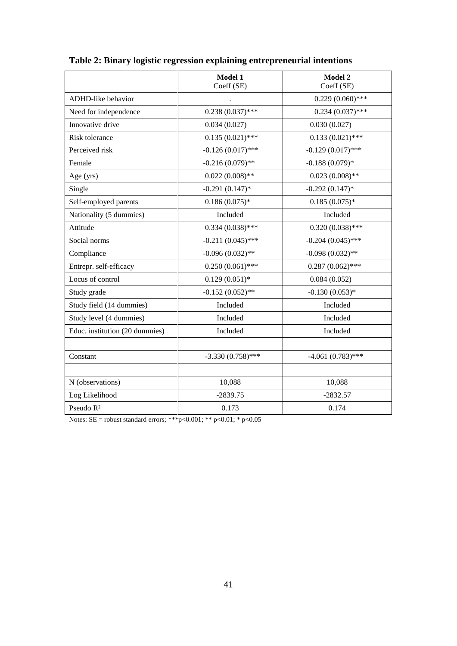|                                | <b>Model 1</b><br>Coeff (SE) | <b>Model 2</b><br>Coeff (SE) |  |  |
|--------------------------------|------------------------------|------------------------------|--|--|
| ADHD-like behavior             |                              | $0.229(0.060)$ ***           |  |  |
| Need for independence          | $0.238(0.037)$ ***           | $0.234(0.037)$ ***           |  |  |
| Innovative drive               | 0.034(0.027)                 | 0.030(0.027)                 |  |  |
| Risk tolerance                 | $0.135(0.021)$ ***           | $0.133(0.021)$ ***           |  |  |
| Perceived risk                 | $-0.126(0.017)$ ***          | $-0.129(0.017)$ ***          |  |  |
| Female                         | $-0.216(0.079)$ **           | $-0.188(0.079)*$             |  |  |
| Age (yrs)                      | $0.022(0.008)$ **            | $0.023(0.008)$ **            |  |  |
| Single                         | $-0.291(0.147)$ *            | $-0.292(0.147)$ *            |  |  |
| Self-employed parents          | $0.186(0.075)*$              | $0.185(0.075)*$              |  |  |
| Nationality (5 dummies)        | Included                     | Included                     |  |  |
| Attitude                       | $0.334(0.038)$ ***           | $0.320(0.038)$ ***           |  |  |
| Social norms                   | $-0.211(0.045)$ ***          | $-0.204(0.045)$ ***          |  |  |
| Compliance                     | $-0.096(0.032)$ **           | $-0.098(0.032)$ **           |  |  |
| Entrepr. self-efficacy         | $0.250(0.061)$ ***           | $0.287(0.062)$ ***           |  |  |
| Locus of control               | $0.129(0.051)$ *             | 0.084(0.052)                 |  |  |
| Study grade                    | $-0.152(0.052)$ **           | $-0.130(0.053)*$             |  |  |
| Study field (14 dummies)       | Included                     | Included                     |  |  |
| Study level (4 dummies)        | Included                     | Included                     |  |  |
| Educ. institution (20 dummies) | Included                     | Included                     |  |  |
|                                |                              |                              |  |  |
| Constant                       | $-3.330(0.758)$ ***          | $-4.061(0.783)$ ***          |  |  |
|                                |                              |                              |  |  |
| N (observations)               | 10,088                       | 10,088                       |  |  |
| Log Likelihood                 | $-2839.75$                   | $-2832.57$                   |  |  |
| Pseudo R <sup>2</sup>          | 0.173                        | 0.174                        |  |  |

| Table 2: Binary logistic regression explaining entrepreneurial intentions |  |  |  |
|---------------------------------------------------------------------------|--|--|--|
|---------------------------------------------------------------------------|--|--|--|

Notes:  $SE =$  robust standard errors; \*\*\*p<0.001; \*\* p<0.01; \* p<0.05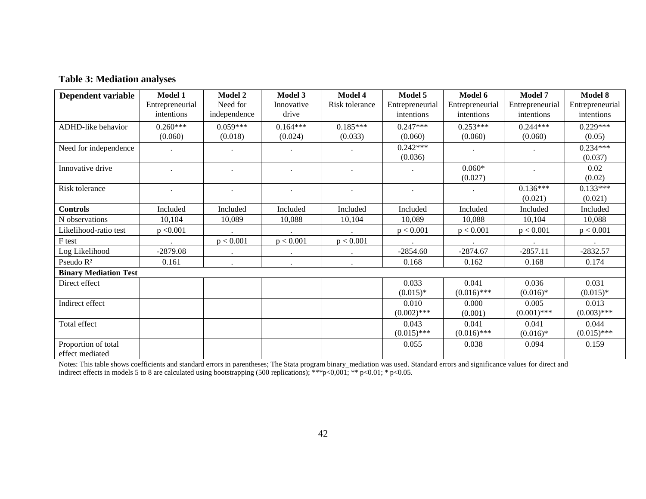## **Table 3: Mediation analyses**

| Dependent variable           | <b>Model 1</b>  | <b>Model 2</b> | Model 3    | Model 4        | Model 5         | Model 6         | Model 7         | <b>Model 8</b>  |
|------------------------------|-----------------|----------------|------------|----------------|-----------------|-----------------|-----------------|-----------------|
|                              | Entrepreneurial | Need for       | Innovative | Risk tolerance | Entrepreneurial | Entrepreneurial | Entrepreneurial | Entrepreneurial |
|                              | intentions      | independence   | drive      |                | intentions      | intentions      | intentions      | intentions      |
| ADHD-like behavior           | $0.260***$      | $0.059***$     | $0.164***$ | $0.185***$     | $0.247***$      | $0.253***$      | $0.244***$      | $0.229***$      |
|                              | (0.060)         | (0.018)        | (0.024)    | (0.033)        | (0.060)         | (0.060)         | (0.060)         | (0.05)          |
| Need for independence        |                 |                |            |                | $0.242***$      |                 |                 | $0.234***$      |
|                              |                 |                |            |                | (0.036)         |                 |                 | (0.037)         |
| Innovative drive             |                 |                |            |                |                 | $0.060*$        |                 | 0.02            |
|                              |                 |                |            |                |                 | (0.027)         |                 | (0.02)          |
| Risk tolerance               |                 |                |            | $\bullet$      |                 |                 | $0.136***$      | $0.133***$      |
|                              |                 |                |            |                |                 |                 | (0.021)         | (0.021)         |
| <b>Controls</b>              | Included        | Included       | Included   | Included       | Included        | Included        | Included        | Included        |
| N observations               | 10,104          | 10,089         | 10,088     | 10,104         | 10,089          | 10,088          | 10,104          | 10,088          |
| Likelihood-ratio test        | p < 0.001       |                |            |                | p < 0.001       | p < 0.001       | p < 0.001       | p < 0.001       |
| F test                       |                 | p < 0.001      | p < 0.001  | p < 0.001      |                 |                 |                 |                 |
| Log Likelihood               | $-2879.08$      |                |            |                | $-2854.60$      | $-2874.67$      | $-2857.11$      | $-2832.57$      |
| Pseudo R <sup>2</sup>        | 0.161           |                |            |                | 0.168           | 0.162           | 0.168           | 0.174           |
| <b>Binary Mediation Test</b> |                 |                |            |                |                 |                 |                 |                 |
| Direct effect                |                 |                |            |                | 0.033           | 0.041           | 0.036           | 0.031           |
|                              |                 |                |            |                | $(0.015)*$      | $(0.016)$ ***   | $(0.016)*$      | $(0.015)*$      |
| Indirect effect              |                 |                |            |                | 0.010           | 0.000           | 0.005           | 0.013           |
|                              |                 |                |            |                | $(0.002)$ ***   | (0.001)         | $(0.001)$ ***   | $(0.003)$ ***   |
| Total effect                 |                 |                |            |                | 0.043           | 0.041           | 0.041           | 0.044           |
|                              |                 |                |            |                | $(0.015)$ ***   | $(0.016)$ ***   | $(0.016)*$      | $(0.015)$ ***   |
| Proportion of total          |                 |                |            |                | 0.055           | 0.038           | 0.094           | 0.159           |
| effect mediated              |                 |                |            |                |                 |                 |                 |                 |

Notes: This table shows coefficients and standard errors in parentheses; The Stata program binary\_mediation was used. Standard errors and significance values for direct and indirect effects in models 5 to 8 are calculated using bootstrapping (500 replications); \*\*\*p<0,001; \*\* p<0.01; \* p<0.05.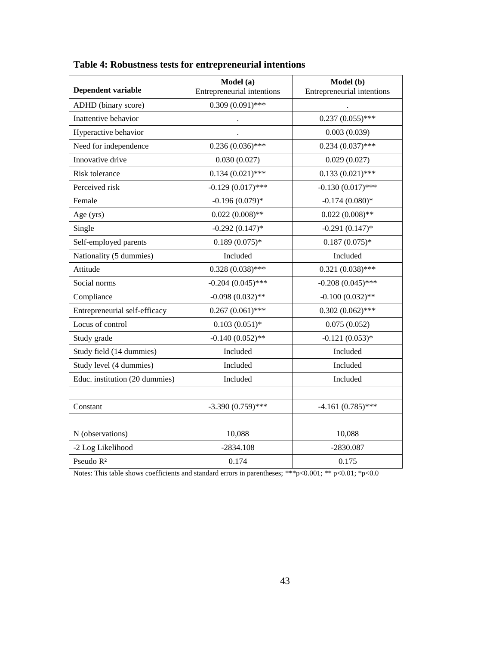| Dependent variable             | Model (a)<br>Entrepreneurial intentions | Model (b)<br>Entrepreneurial intentions |  |
|--------------------------------|-----------------------------------------|-----------------------------------------|--|
| ADHD (binary score)            | $0.309(0.091)$ ***                      |                                         |  |
| Inattentive behavior           |                                         | $0.237(0.055)$ ***                      |  |
| Hyperactive behavior           |                                         | 0.003(0.039)                            |  |
| Need for independence          | $0.236(0.036)$ ***                      | $0.234(0.037)$ ***                      |  |
| Innovative drive               | 0.030(0.027)                            | 0.029(0.027)                            |  |
| Risk tolerance                 | $0.134(0.021)$ ***                      | $0.133(0.021)$ ***                      |  |
| Perceived risk                 | $-0.129(0.017)$ ***                     | $-0.130(0.017)$ ***                     |  |
| Female                         | $-0.196(0.079)*$                        | $-0.174(0.080)*$                        |  |
| Age (yrs)                      | $0.022(0.008)$ **                       | $0.022(0.008)$ **                       |  |
| Single                         | $-0.292(0.147)$ *                       | $-0.291(0.147)$ *                       |  |
| Self-employed parents          | $0.189(0.075)*$                         | $0.187(0.075)*$                         |  |
| Nationality (5 dummies)        | Included                                | Included                                |  |
| Attitude                       | $0.328(0.038)$ ***                      | $0.321(0.038)$ ***                      |  |
| Social norms                   | $-0.204(0.045)$ ***                     | $-0.208(0.045)$ ***                     |  |
| Compliance                     | $-0.098(0.032)$ **                      | $-0.100(0.032)$ **                      |  |
| Entrepreneurial self-efficacy  | $0.267(0.061)$ ***                      | $0.302(0.062)$ ***                      |  |
| Locus of control               | $0.103(0.051)*$                         | 0.075(0.052)                            |  |
| Study grade                    | $-0.140(0.052)$ **                      | $-0.121(0.053)*$                        |  |
| Study field (14 dummies)       | Included                                | Included                                |  |
| Study level (4 dummies)        | Included                                | Included                                |  |
| Educ. institution (20 dummies) | Included                                | Included                                |  |
|                                |                                         |                                         |  |
| Constant                       | $-3.390(0.759)$ ***                     | $-4.161(0.785)$ ***                     |  |
|                                |                                         |                                         |  |
| N (observations)               | 10,088                                  | 10,088                                  |  |
| -2 Log Likelihood              | $-2834.108$                             | $-2830.087$                             |  |
| Pseudo R <sup>2</sup>          | 0.174                                   | 0.175                                   |  |

**Table 4: Robustness tests for entrepreneurial intentions**

Notes: This table shows coefficients and standard errors in parentheses; \*\*\*p<0.001; \*\* p<0.01; \*p<0.0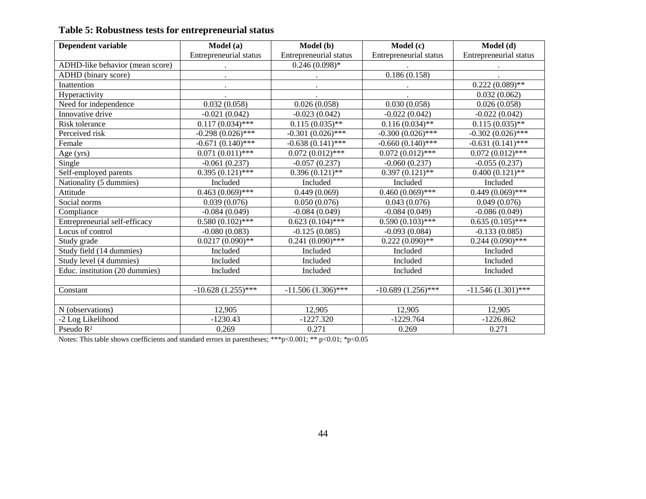| Dependent variable              | Model (a)              | Model (b)                     | Model (c)              | Model (d)              |  |
|---------------------------------|------------------------|-------------------------------|------------------------|------------------------|--|
|                                 | Entrepreneurial status | Entrepreneurial status        | Entrepreneurial status | Entrepreneurial status |  |
| ADHD-like behavior (mean score) | $\bullet$              | $0.246(0.098)*$               |                        |                        |  |
| ADHD (binary score)             |                        |                               | 0.186(0.158)           |                        |  |
| Inattention                     | $\bullet$              |                               | $\bullet$              | $0.222(0.089)$ **      |  |
| Hyperactivity                   |                        |                               |                        | 0.032(0.062)           |  |
| Need for independence           | 0.032(0.058)           | 0.026(0.058)                  | 0.030(0.058)           | 0.026(0.058)           |  |
| Innovative drive                | $-0.021(0.042)$        | $-0.023(0.042)$               | $-0.022(0.042)$        | $-0.022(0.042)$        |  |
| Risk tolerance                  | $0.117(0.034)$ ***     | $0.115(0.035)$ **             | $0.116(0.034)$ **      | $0.115(0.035)$ **      |  |
| Perceived risk                  | $-0.298(0.026)$ ***    | $-0.301(0.026)$ ***           | $-0.300(0.026)$ ***    | $-0.302(0.026)$ ***    |  |
| Female                          | $-0.671(0.140)$ ***    | $-0.638(0.141)$ ***           | $-0.660(0.140)$ ***    | $-0.631(0.141)$ ***    |  |
| Age (yrs)                       | $0.071(0.011)$ ***     | $0.072(0.012)$ ***            | $0.072(0.012)$ ***     | $0.072(0.012)$ ***     |  |
| Single                          | $-0.061(0.237)$        | $-0.057(0.237)$               | $-0.060(0.237)$        | $-0.055(0.237)$        |  |
| Self-employed parents           | $0.395(0.121)$ ***     | $0.396(0.121)$ **             | $0.397(0.121)$ **      | $0.400(0.121)$ **      |  |
| Nationality (5 dummies)         | Included               | Included                      | Included               | Included               |  |
| Attitude                        | $0.463(0.069)$ ***     | 0.449(0.069)                  | $0.460(0.069)$ ***     | $0.449(0.069)$ ***     |  |
| Social norms                    | 0.039(0.076)           | 0.050(0.076)                  | 0.043(0.076)           | 0.049(0.076)           |  |
| Compliance                      | $-0.084(0.049)$        | $-0.084(0.049)$               | $-0.084(0.049)$        | $-0.086(0.049)$        |  |
| Entrepreneurial self-efficacy   | $0.580(0.102)$ ***     | $0.623(0.104)$ ***            | $0.590(0.103)$ ***     | $0.635(0.105)$ ***     |  |
| Locus of control                | $-0.080(0.083)$        | $-0.125(0.085)$               | $-0.093(0.084)$        | $-0.133(0.085)$        |  |
| Study grade                     | $0.0217(0.090)$ **     | $0.241 \overline{(0.090)***}$ | $0.222(0.090)**$       | $0.244(0.090)$ ***     |  |
| Study field (14 dummies)        | Included               | Included                      | Included               | Included               |  |
| Study level (4 dummies)         | Included               | Included                      | Included               | Included               |  |
| Educ. institution (20 dummies)  | Included               | Included                      | Included               | Included               |  |
|                                 |                        |                               |                        |                        |  |
| Constant                        | $-10.628(1.255)$ ***   | $-11.506(1.306)$ ***          | $-10.689(1.256)$ ***   | $-11.546(1.301)$ ***   |  |
|                                 |                        |                               |                        |                        |  |
| N (observations)                | 12,905                 | 12,905                        | 12,905                 | 12,905                 |  |
| -2 Log Likelihood               | $-1230.43$             | $-1227.320$                   | $-1229.764$            | $-1226.862$            |  |
| Pseudo $R^2$                    | 0.269                  | 0.271                         | 0.269                  | 0.271                  |  |

Notes: This table shows coefficients and standard errors in parentheses; \*\*\*p<0.001; \*\* p<0.01; \*p<0.05